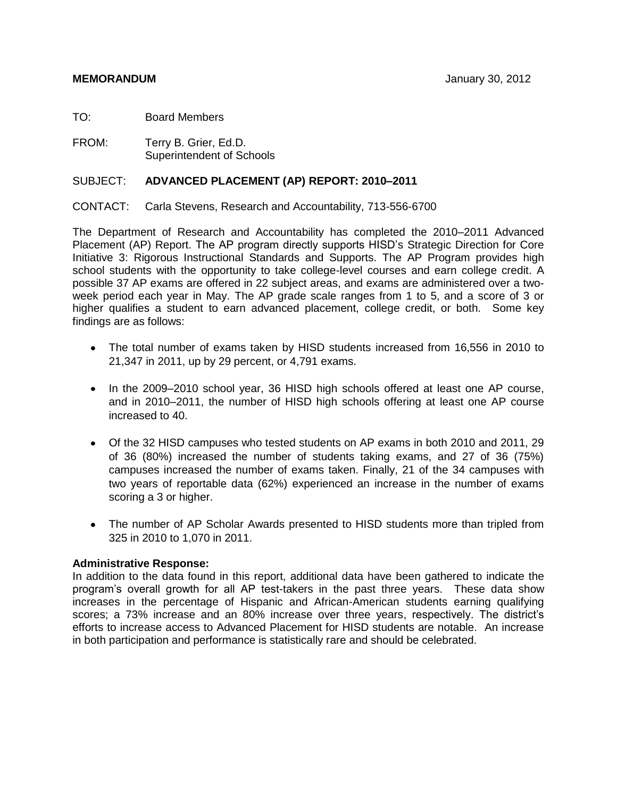TO: Board Members

FROM: Terry B. Grier, Ed.D. Superintendent of Schools

# SUBJECT: **ADVANCED PLACEMENT (AP) REPORT: 2010–2011**

CONTACT: Carla Stevens, Research and Accountability, 713-556-6700

The Department of Research and Accountability has completed the 2010–2011 Advanced Placement (AP) Report. The AP program directly supports HISD's Strategic Direction for Core Initiative 3: Rigorous Instructional Standards and Supports. The AP Program provides high school students with the opportunity to take college-level courses and earn college credit. A possible 37 AP exams are offered in 22 subject areas, and exams are administered over a twoweek period each year in May. The AP grade scale ranges from 1 to 5, and a score of 3 or higher qualifies a student to earn advanced placement, college credit, or both. Some key findings are as follows:

- The total number of exams taken by HISD students increased from 16,556 in 2010 to 21,347 in 2011, up by 29 percent, or 4,791 exams.
- In the 2009–2010 school year, 36 HISD high schools offered at least one AP course, and in 2010–2011, the number of HISD high schools offering at least one AP course increased to 40.
- Of the 32 HISD campuses who tested students on AP exams in both 2010 and 2011, 29 of 36 (80%) increased the number of students taking exams, and 27 of 36 (75%) campuses increased the number of exams taken. Finally, 21 of the 34 campuses with two years of reportable data (62%) experienced an increase in the number of exams scoring a 3 or higher.
- The number of AP Scholar Awards presented to HISD students more than tripled from 325 in 2010 to 1,070 in 2011.

# **Administrative Response:**

In addition to the data found in this report, additional data have been gathered to indicate the program's overall growth for all AP test-takers in the past three years. These data show increases in the percentage of Hispanic and African-American students earning qualifying scores; a 73% increase and an 80% increase over three years, respectively. The district's efforts to increase access to Advanced Placement for HISD students are notable. An increase in both participation and performance is statistically rare and should be celebrated.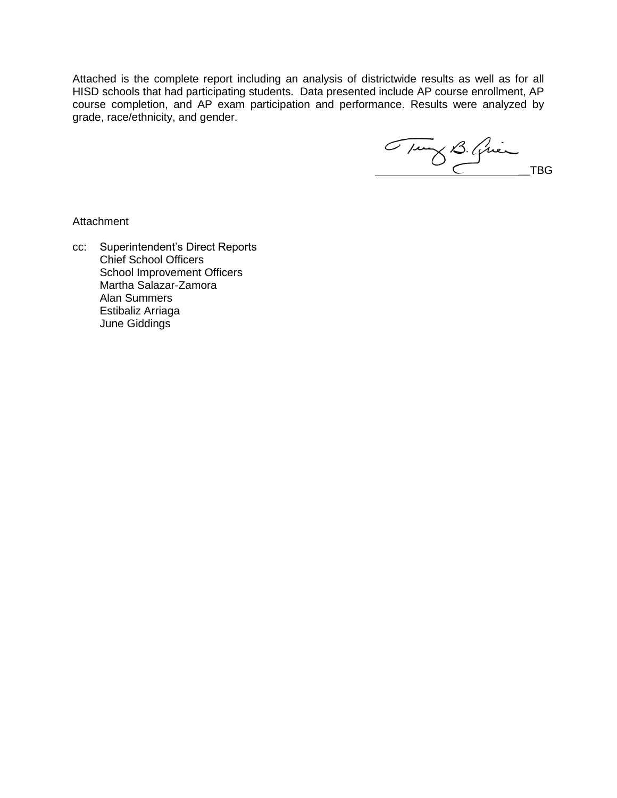Attached is the complete report including an analysis of districtwide results as well as for all HISD schools that had participating students. Data presented include AP course enrollment, AP course completion, and AP exam participation and performance. Results were analyzed by grade, race/ethnicity, and gender.

Tung B. Quinche

**Attachment** 

cc: Superintendent's Direct Reports Chief School Officers School Improvement Officers Martha Salazar-Zamora Alan Summers Estibaliz Arriaga June Giddings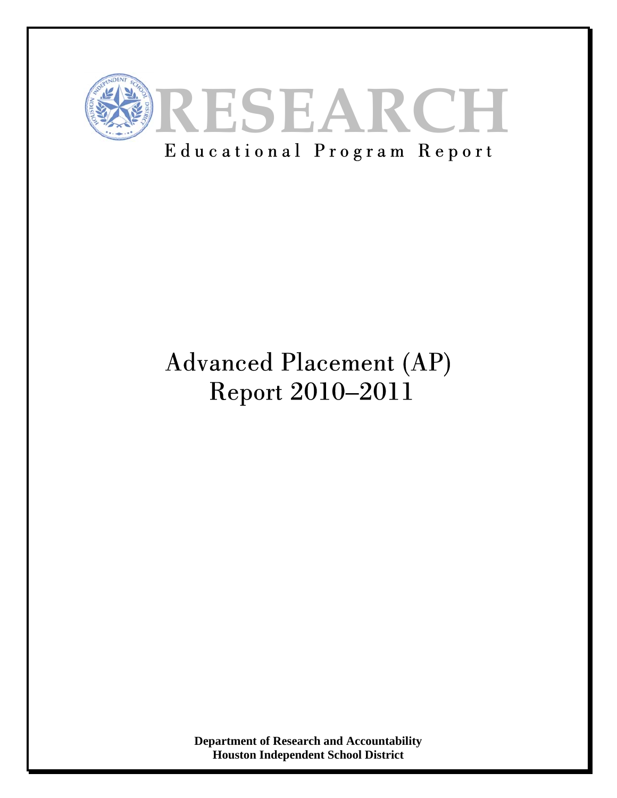

# Educational Program Report

# Advanced Placement (AP) Report 2010–2011

**Department of Research and Accountability Houston Independent School District**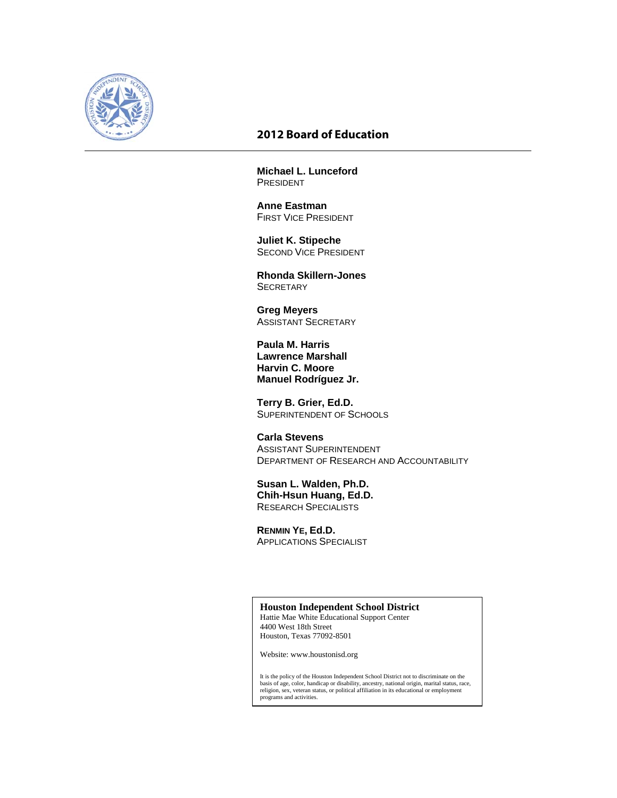

# **2012 Board of Education**

**Michael L. Lunceford**  PRESIDENT

**Anne Eastman** FIRST VICE PRESIDENT

 **Juliet K. Stipeche**  SECOND VICE PRESIDENT

 **Rhonda Skillern-Jones SECRETARY** 

**Greg Meyers** ASSISTANT SECRETARY

 **Paula M. Harris Lawrence Marshall Harvin C. Moore Manuel Rodríguez Jr.**

 **Terry B. Grier, Ed.D.**  SUPERINTENDENT OF SCHOOLS

 **Carla Stevens**  ASSISTANT SUPERINTENDENT DEPARTMENT OF RESEARCH AND ACCOUNTABILITY

 **Susan L. Walden, Ph.D. Chih-Hsun Huang, Ed.D.**  RESEARCH SPECIALISTS

**RENMIN YE, Ed.D.**  APPLICATIONS SPECIALIST

# **Houston Independent School District**

Hattie Mae White Educational Support Center 4400 West 18th Street Houston, Texas 77092-8501

Website: www.houstonisd.org

It is the policy of the Houston Independent School District not to discriminate on the<br>basis of age, color, handicap or disability, ancestry, national origin, marital status, race,<br>religion, sex, veteran status, or politic programs and activities.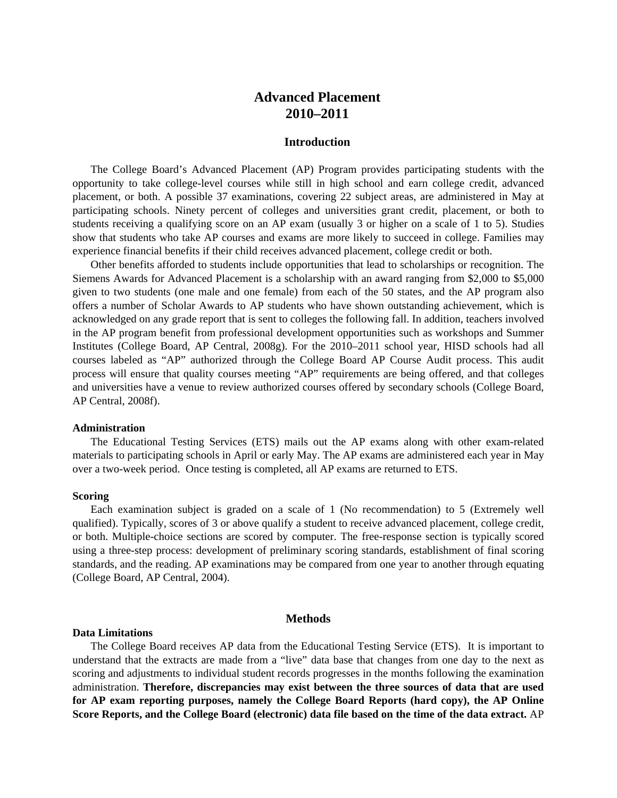# **Advanced Placement 2010–2011**

#### **Introduction**

The College Board's Advanced Placement (AP) Program provides participating students with the opportunity to take college-level courses while still in high school and earn college credit, advanced placement, or both. A possible 37 examinations, covering 22 subject areas, are administered in May at participating schools. Ninety percent of colleges and universities grant credit, placement, or both to students receiving a qualifying score on an AP exam (usually 3 or higher on a scale of 1 to 5). Studies show that students who take AP courses and exams are more likely to succeed in college. Families may experience financial benefits if their child receives advanced placement, college credit or both.

Other benefits afforded to students include opportunities that lead to scholarships or recognition. The Siemens Awards for Advanced Placement is a scholarship with an award ranging from \$2,000 to \$5,000 given to two students (one male and one female) from each of the 50 states, and the AP program also offers a number of Scholar Awards to AP students who have shown outstanding achievement, which is acknowledged on any grade report that is sent to colleges the following fall. In addition, teachers involved in the AP program benefit from professional development opportunities such as workshops and Summer Institutes (College Board, AP Central, 2008g). For the 2010–2011 school year, HISD schools had all courses labeled as "AP" authorized through the College Board AP Course Audit process. This audit process will ensure that quality courses meeting "AP" requirements are being offered, and that colleges and universities have a venue to review authorized courses offered by secondary schools (College Board, AP Central, 2008f).

#### **Administration**

The Educational Testing Services (ETS) mails out the AP exams along with other exam-related materials to participating schools in April or early May. The AP exams are administered each year in May over a two-week period. Once testing is completed, all AP exams are returned to ETS.

#### **Scoring**

Each examination subject is graded on a scale of 1 (No recommendation) to 5 (Extremely well qualified). Typically, scores of 3 or above qualify a student to receive advanced placement, college credit, or both. Multiple-choice sections are scored by computer. The free-response section is typically scored using a three-step process: development of preliminary scoring standards, establishment of final scoring standards, and the reading. AP examinations may be compared from one year to another through equating (College Board, AP Central, 2004).

#### **Methods**

#### **Data Limitations**

The College Board receives AP data from the Educational Testing Service (ETS). It is important to understand that the extracts are made from a "live" data base that changes from one day to the next as scoring and adjustments to individual student records progresses in the months following the examination administration. **Therefore, discrepancies may exist between the three sources of data that are used for AP exam reporting purposes, namely the College Board Reports (hard copy), the AP Online Score Reports, and the College Board (electronic) data file based on the time of the data extract.** AP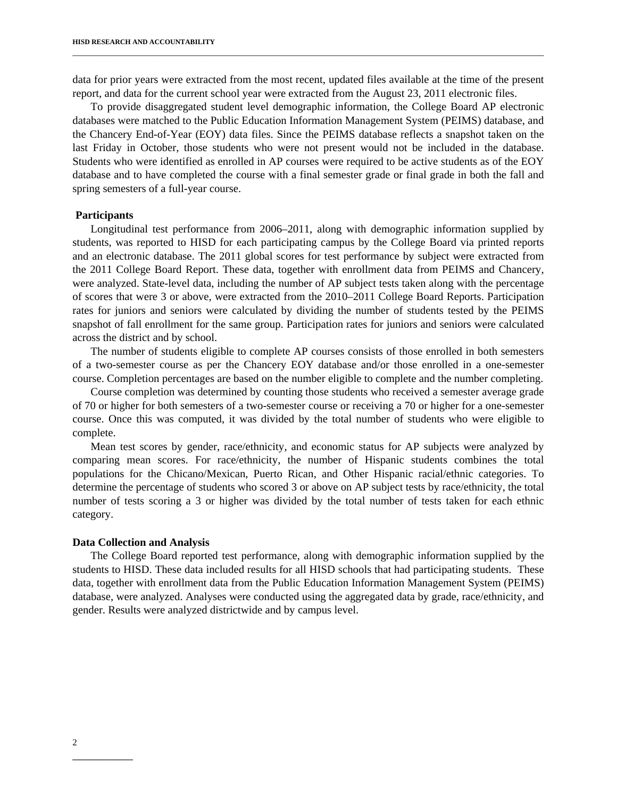data for prior years were extracted from the most recent, updated files available at the time of the present report, and data for the current school year were extracted from the August 23, 2011 electronic files.

\_\_\_\_\_\_\_\_\_\_\_\_\_\_\_\_\_\_\_\_\_\_\_\_\_\_\_\_\_\_\_\_\_\_\_\_\_\_\_\_\_\_\_\_\_\_\_\_\_\_\_\_\_\_\_\_\_\_\_\_\_\_\_\_\_\_\_\_\_\_\_\_\_\_\_\_\_\_\_\_\_\_\_\_\_\_\_\_\_\_\_\_\_\_\_\_\_\_\_\_\_\_\_\_

To provide disaggregated student level demographic information, the College Board AP electronic databases were matched to the Public Education Information Management System (PEIMS) database, and the Chancery End-of-Year (EOY) data files. Since the PEIMS database reflects a snapshot taken on the last Friday in October, those students who were not present would not be included in the database. Students who were identified as enrolled in AP courses were required to be active students as of the EOY database and to have completed the course with a final semester grade or final grade in both the fall and spring semesters of a full-year course.

#### **Participants**

Longitudinal test performance from 2006–2011, along with demographic information supplied by students, was reported to HISD for each participating campus by the College Board via printed reports and an electronic database. The 2011 global scores for test performance by subject were extracted from the 2011 College Board Report. These data, together with enrollment data from PEIMS and Chancery, were analyzed. State-level data, including the number of AP subject tests taken along with the percentage of scores that were 3 or above, were extracted from the 2010–2011 College Board Reports. Participation rates for juniors and seniors were calculated by dividing the number of students tested by the PEIMS snapshot of fall enrollment for the same group. Participation rates for juniors and seniors were calculated across the district and by school.

The number of students eligible to complete AP courses consists of those enrolled in both semesters of a two-semester course as per the Chancery EOY database and/or those enrolled in a one-semester course. Completion percentages are based on the number eligible to complete and the number completing.

Course completion was determined by counting those students who received a semester average grade of 70 or higher for both semesters of a two-semester course or receiving a 70 or higher for a one-semester course. Once this was computed, it was divided by the total number of students who were eligible to complete.

Mean test scores by gender, race/ethnicity, and economic status for AP subjects were analyzed by comparing mean scores. For race/ethnicity, the number of Hispanic students combines the total populations for the Chicano/Mexican, Puerto Rican, and Other Hispanic racial/ethnic categories. To determine the percentage of students who scored 3 or above on AP subject tests by race/ethnicity, the total number of tests scoring a 3 or higher was divided by the total number of tests taken for each ethnic category.

#### **Data Collection and Analysis**

The College Board reported test performance, along with demographic information supplied by the students to HISD. These data included results for all HISD schools that had participating students. These data, together with enrollment data from the Public Education Information Management System (PEIMS) database, were analyzed. Analyses were conducted using the aggregated data by grade, race/ethnicity, and gender. Results were analyzed districtwide and by campus level.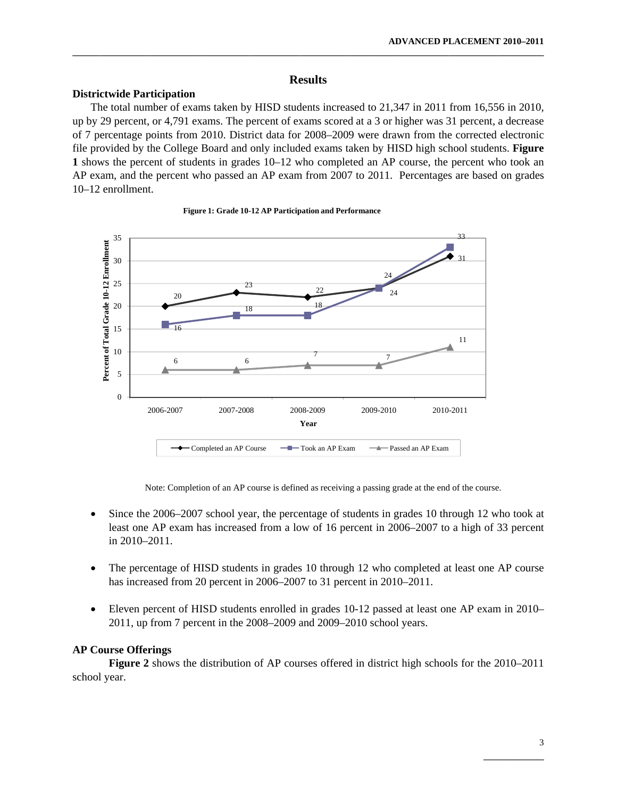# **Results**

**\_\_\_\_\_\_\_\_\_\_\_\_\_\_\_\_\_\_\_\_\_\_\_\_\_\_\_\_\_\_\_\_\_\_\_\_\_\_\_\_\_\_\_\_\_\_\_\_\_\_\_\_\_\_\_\_\_\_\_\_\_\_\_\_\_\_\_\_\_\_\_\_\_\_\_\_\_\_\_\_\_\_\_\_\_\_\_\_\_\_\_\_\_\_\_\_\_\_\_\_\_\_\_\_** 

# **Districtwide Participation**

The total number of exams taken by HISD students increased to 21,347 in 2011 from 16,556 in 2010, up by 29 percent, or 4,791 exams. The percent of exams scored at a 3 or higher was 31 percent, a decrease of 7 percentage points from 2010. District data for 2008–2009 were drawn from the corrected electronic file provided by the College Board and only included exams taken by HISD high school students. **Figure 1** shows the percent of students in grades 10–12 who completed an AP course, the percent who took an AP exam, and the percent who passed an AP exam from 2007 to 2011. Percentages are based on grades 10–12 enrollment.



#### **Figure 1: Grade 10-12 AP Participation and Performance**

Note: Completion of an AP course is defined as receiving a passing grade at the end of the course.

- Since the 2006–2007 school year, the percentage of students in grades 10 through 12 who took at least one AP exam has increased from a low of 16 percent in 2006–2007 to a high of 33 percent in 2010–2011.
- The percentage of HISD students in grades 10 through 12 who completed at least one AP course has increased from 20 percent in 2006–2007 to 31 percent in 2010–2011.
- Eleven percent of HISD students enrolled in grades 10-12 passed at least one AP exam in 2010– 2011, up from 7 percent in the 2008–2009 and 2009–2010 school years.

# **AP Course Offerings**

 **Figure 2** shows the distribution of AP courses offered in district high schools for the 2010–2011 school year.

 $\mathcal{L}_\mathcal{L}$  , which is a set of the set of the set of the set of the set of the set of the set of the set of the set of the set of the set of the set of the set of the set of the set of the set of the set of the set of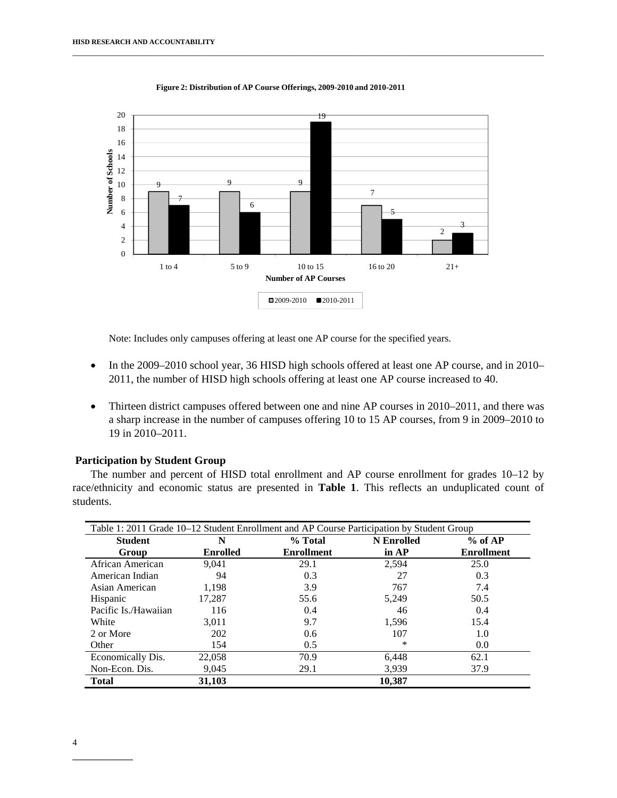

**Figure 2: Distribution of AP Course Offerings, 2009-2010 and 2010-2011**

\_\_\_\_\_\_\_\_\_\_\_\_\_\_\_\_\_\_\_\_\_\_\_\_\_\_\_\_\_\_\_\_\_\_\_\_\_\_\_\_\_\_\_\_\_\_\_\_\_\_\_\_\_\_\_\_\_\_\_\_\_\_\_\_\_\_\_\_\_\_\_\_\_\_\_\_\_\_\_\_\_\_\_\_\_\_\_\_\_\_\_\_\_\_\_\_\_\_\_\_\_\_\_\_

Note: Includes only campuses offering at least one AP course for the specified years.

- In the 2009–2010 school year, 36 HISD high schools offered at least one AP course, and in 2010– 2011, the number of HISD high schools offering at least one AP course increased to 40.
- Thirteen district campuses offered between one and nine AP courses in 2010–2011, and there was a sharp increase in the number of campuses offering 10 to 15 AP courses, from 9 in 2009–2010 to 19 in 2010–2011.

# **Participation by Student Group**

The number and percent of HISD total enrollment and AP course enrollment for grades 10–12 by race/ethnicity and economic status are presented in **Table 1**. This reflects an unduplicated count of students.

| Table 1: 2011 Grade 10–12 Student Enrollment and AP Course Participation by Student Group |                 |                   |                   |                   |
|-------------------------------------------------------------------------------------------|-----------------|-------------------|-------------------|-------------------|
| <b>Student</b>                                                                            | N               | % Total           | <b>N</b> Enrolled | % of AP           |
| Group                                                                                     | <b>Enrolled</b> | <b>Enrollment</b> | in $AP$           | <b>Enrollment</b> |
| African American                                                                          | 9.041           | 29.1              | 2,594             | 25.0              |
| American Indian                                                                           | 94              | 0.3               | 27                | 0.3               |
| Asian American                                                                            | 1,198           | 3.9               | 767               | 7.4               |
| Hispanic                                                                                  | 17.287          | 55.6              | 5.249             | 50.5              |
| Pacific Is./Hawaiian                                                                      | 116             | 0.4               | 46                | 0.4               |
| White                                                                                     | 3,011           | 9.7               | 1,596             | 15.4              |
| 2 or More                                                                                 | 202             | 0.6               | 107               | 1.0               |
| Other                                                                                     | 154             | 0.5               | ∗                 | 0.0               |
| Economically Dis.                                                                         | 22,058          | 70.9              | 6,448             | 62.1              |
| Non-Econ. Dis.                                                                            | 9,045           | 29.1              | 3,939             | 37.9              |
| <b>Total</b>                                                                              | 31,103          |                   | 10.387            |                   |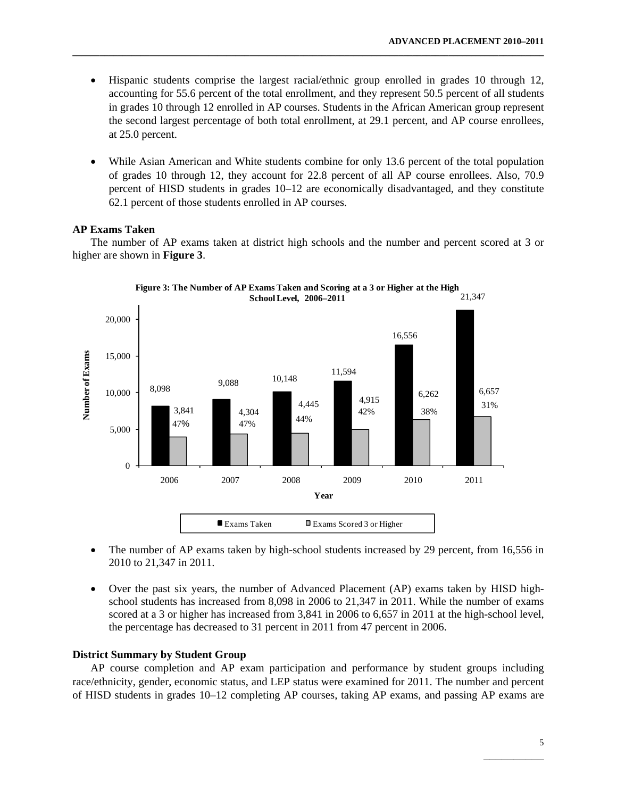• Hispanic students comprise the largest racial/ethnic group enrolled in grades 10 through 12, accounting for 55.6 percent of the total enrollment, and they represent 50.5 percent of all students in grades 10 through 12 enrolled in AP courses. Students in the African American group represent the second largest percentage of both total enrollment, at 29.1 percent, and AP course enrollees, at 25.0 percent.

**\_\_\_\_\_\_\_\_\_\_\_\_\_\_\_\_\_\_\_\_\_\_\_\_\_\_\_\_\_\_\_\_\_\_\_\_\_\_\_\_\_\_\_\_\_\_\_\_\_\_\_\_\_\_\_\_\_\_\_\_\_\_\_\_\_\_\_\_\_\_\_\_\_\_\_\_\_\_\_\_\_\_\_\_\_\_\_\_\_\_\_\_\_\_\_\_\_\_\_\_\_\_\_\_** 

• While Asian American and White students combine for only 13.6 percent of the total population of grades 10 through 12, they account for 22.8 percent of all AP course enrollees. Also, 70.9 percent of HISD students in grades 10–12 are economically disadvantaged, and they constitute 62.1 percent of those students enrolled in AP courses.

#### **AP Exams Taken**

The number of AP exams taken at district high schools and the number and percent scored at 3 or higher are shown in **Figure 3**.



- The number of AP exams taken by high-school students increased by 29 percent, from 16,556 in 2010 to 21,347 in 2011.
- Over the past six years, the number of Advanced Placement (AP) exams taken by HISD highschool students has increased from 8,098 in 2006 to 21,347 in 2011. While the number of exams scored at a 3 or higher has increased from 3,841 in 2006 to 6,657 in 2011 at the high-school level, the percentage has decreased to 31 percent in 2011 from 47 percent in 2006.

#### **District Summary by Student Group**

AP course completion and AP exam participation and performance by student groups including race/ethnicity, gender, economic status, and LEP status were examined for 2011. The number and percent of HISD students in grades 10–12 completing AP courses, taking AP exams, and passing AP exams are

 $\mathcal{L}_\mathcal{L}$  , which is a set of the set of the set of the set of the set of the set of the set of the set of the set of the set of the set of the set of the set of the set of the set of the set of the set of the set of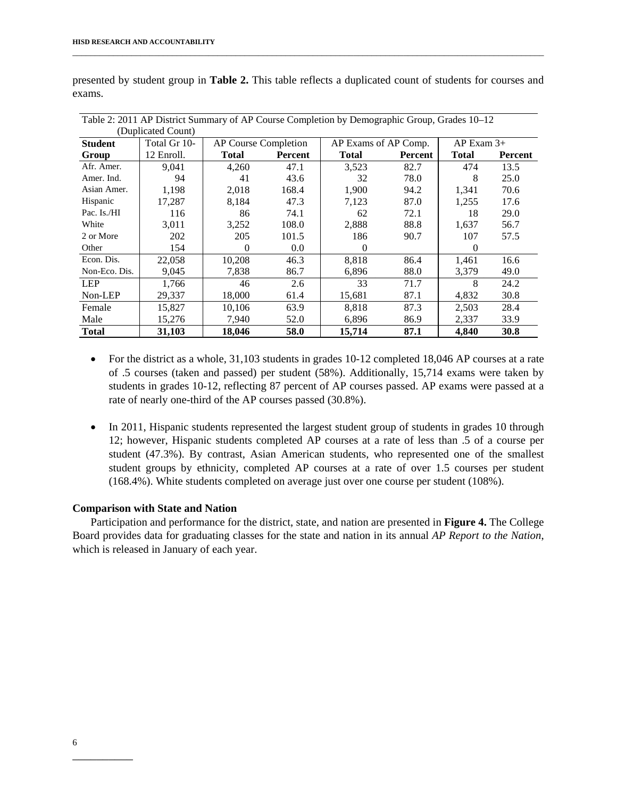|                | Table 2: 2011 AP District Summary of AP Course Completion by Demographic Group, Grades 10–12 |                      |         |                      |         |                |         |
|----------------|----------------------------------------------------------------------------------------------|----------------------|---------|----------------------|---------|----------------|---------|
|                | (Duplicated Count)                                                                           |                      |         |                      |         |                |         |
| <b>Student</b> | Total Gr 10-                                                                                 | AP Course Completion |         | AP Exams of AP Comp. |         | $AP$ Exam $3+$ |         |
| Group          | 12 Enroll.                                                                                   | <b>Total</b>         | Percent | <b>Total</b>         | Percent | <b>Total</b>   | Percent |
| Afr. Amer.     | 9,041                                                                                        | 4,260                | 47.1    | 3,523                | 82.7    | 474            | 13.5    |
| Amer. Ind.     | 94                                                                                           | 41                   | 43.6    | 32                   | 78.0    | 8              | 25.0    |
| Asian Amer.    | 1,198                                                                                        | 2,018                | 168.4   | 1,900                | 94.2    | 1,341          | 70.6    |
| Hispanic       | 17,287                                                                                       | 8,184                | 47.3    | 7,123                | 87.0    | 1,255          | 17.6    |
| Pac. Is./HI    | 116                                                                                          | 86                   | 74.1    | 62                   | 72.1    | 18             | 29.0    |
| White          | 3,011                                                                                        | 3,252                | 108.0   | 2,888                | 88.8    | 1,637          | 56.7    |
| 2 or More      | 202                                                                                          | 205                  | 101.5   | 186                  | 90.7    | 107            | 57.5    |
| Other          | 154                                                                                          | $\Omega$             | 0.0     | $\Omega$             |         | $\Omega$       |         |
| Econ. Dis.     | 22,058                                                                                       | 10,208               | 46.3    | 8,818                | 86.4    | 1,461          | 16.6    |
| Non-Eco. Dis.  | 9,045                                                                                        | 7,838                | 86.7    | 6,896                | 88.0    | 3,379          | 49.0    |
| <b>LEP</b>     | 1,766                                                                                        | 46                   | 2.6     | 33                   | 71.7    | 8              | 24.2    |
| Non-LEP        | 29,337                                                                                       | 18,000               | 61.4    | 15,681               | 87.1    | 4,832          | 30.8    |
| Female         | 15.827                                                                                       | 10.106               | 63.9    | 8.818                | 87.3    | 2,503          | 28.4    |
| Male           | 15,276                                                                                       | 7,940                | 52.0    | 6,896                | 86.9    | 2,337          | 33.9    |
| <b>Total</b>   | 31,103                                                                                       | 18,046               | 58.0    | 15,714               | 87.1    | 4,840          | 30.8    |

presented by student group in **Table 2.** This table reflects a duplicated count of students for courses and exams.

\_\_\_\_\_\_\_\_\_\_\_\_\_\_\_\_\_\_\_\_\_\_\_\_\_\_\_\_\_\_\_\_\_\_\_\_\_\_\_\_\_\_\_\_\_\_\_\_\_\_\_\_\_\_\_\_\_\_\_\_\_\_\_\_\_\_\_\_\_\_\_\_\_\_\_\_\_\_\_\_\_\_\_\_\_\_\_\_\_\_\_\_\_\_\_\_\_\_\_\_\_\_\_\_

- For the district as a whole, 31,103 students in grades 10-12 completed 18,046 AP courses at a rate of .5 courses (taken and passed) per student (58%). Additionally, 15,714 exams were taken by students in grades 10-12, reflecting 87 percent of AP courses passed. AP exams were passed at a rate of nearly one-third of the AP courses passed (30.8%).
- In 2011, Hispanic students represented the largest student group of students in grades 10 through 12; however, Hispanic students completed AP courses at a rate of less than .5 of a course per student (47.3%). By contrast, Asian American students, who represented one of the smallest student groups by ethnicity, completed AP courses at a rate of over 1.5 courses per student (168.4%). White students completed on average just over one course per student (108%).

### **Comparison with State and Nation**

Participation and performance for the district, state, and nation are presented in **Figure 4.** The College Board provides data for graduating classes for the state and nation in its annual *AP Report to the Nation*, which is released in January of each year.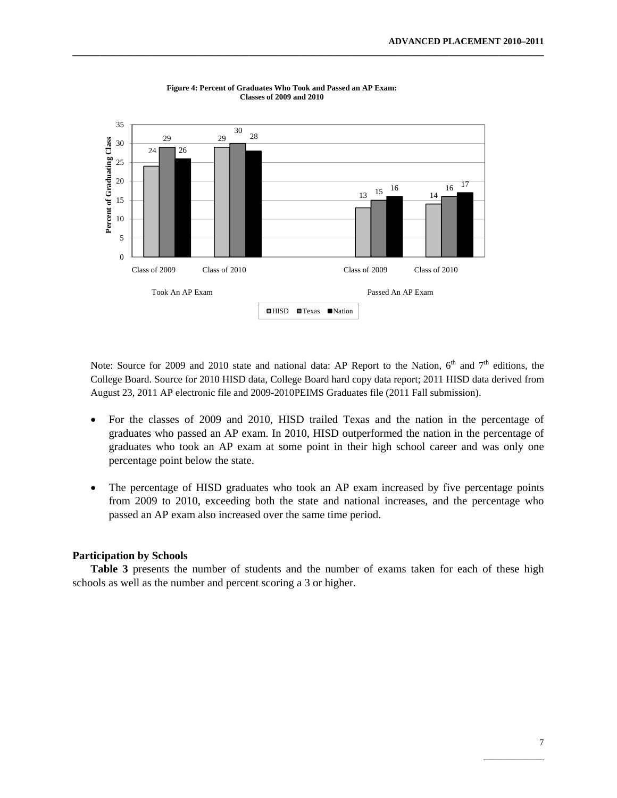

**Figure 4: Percent of Graduates Who Took and Passed an AP Exam: Classes of 2009 and 2010**

**\_\_\_\_\_\_\_\_\_\_\_\_\_\_\_\_\_\_\_\_\_\_\_\_\_\_\_\_\_\_\_\_\_\_\_\_\_\_\_\_\_\_\_\_\_\_\_\_\_\_\_\_\_\_\_\_\_\_\_\_\_\_\_\_\_\_\_\_\_\_\_\_\_\_\_\_\_\_\_\_\_\_\_\_\_\_\_\_\_\_\_\_\_\_\_\_\_\_\_\_\_\_\_\_** 

Note: Source for 2009 and 2010 state and national data: AP Report to the Nation, 6<sup>th</sup> and 7<sup>th</sup> editions, the College Board. Source for 2010 HISD data, College Board hard copy data report; 2011 HISD data derived from August 23, 2011 AP electronic file and 2009-2010PEIMS Graduates file (2011 Fall submission).

- For the classes of 2009 and 2010, HISD trailed Texas and the nation in the percentage of graduates who passed an AP exam. In 2010, HISD outperformed the nation in the percentage of graduates who took an AP exam at some point in their high school career and was only one percentage point below the state.
- The percentage of HISD graduates who took an AP exam increased by five percentage points from 2009 to 2010, exceeding both the state and national increases, and the percentage who passed an AP exam also increased over the same time period.

#### **Participation by Schools**

**Table 3** presents the number of students and the number of exams taken for each of these high schools as well as the number and percent scoring a 3 or higher.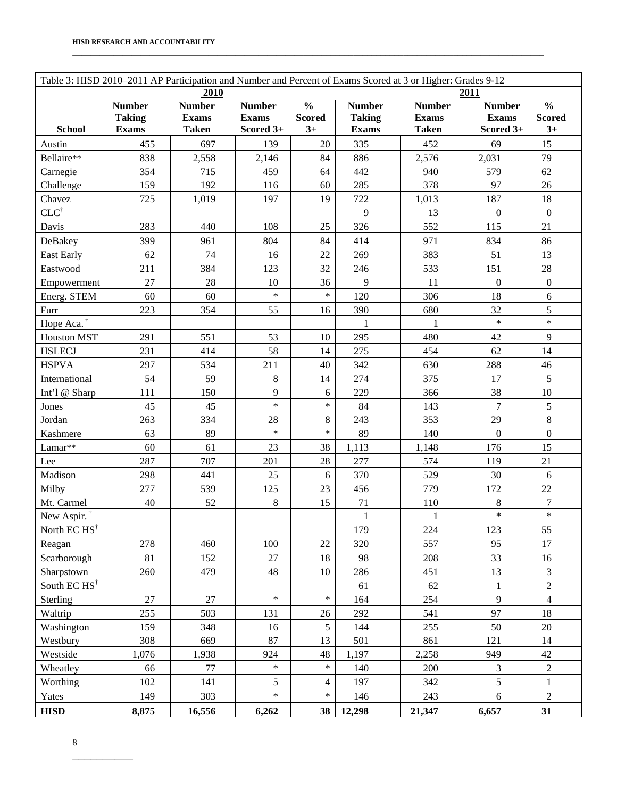|                          |                               |                              |                           |                       |                               | Table 3: HISD 2010-2011 AP Participation and Number and Percent of Exams Scored at 3 or Higher: Grades 9-12 |                           |                        |
|--------------------------|-------------------------------|------------------------------|---------------------------|-----------------------|-------------------------------|-------------------------------------------------------------------------------------------------------------|---------------------------|------------------------|
|                          |                               | 2010                         |                           |                       |                               |                                                                                                             | 2011                      |                        |
|                          | <b>Number</b>                 | <b>Number</b>                | <b>Number</b>             | $\frac{0}{0}$         | <b>Number</b>                 | <b>Number</b>                                                                                               | <b>Number</b>             | $\frac{0}{0}$          |
| <b>School</b>            | <b>Taking</b><br><b>Exams</b> | <b>Exams</b><br><b>Taken</b> | <b>Exams</b><br>Scored 3+ | <b>Scored</b><br>$3+$ | <b>Taking</b><br><b>Exams</b> | <b>Exams</b><br><b>Taken</b>                                                                                | <b>Exams</b><br>Scored 3+ | <b>Scored</b><br>$3+$  |
| Austin                   | 455                           | 697                          | 139                       | 20                    | 335                           | 452                                                                                                         | 69                        | 15                     |
| Bellaire**               | 838                           | 2,558                        |                           | 84                    | 886                           | 2,576                                                                                                       | 2,031                     | 79                     |
|                          | 354                           | 715                          | 2,146<br>459              | 64                    | 442                           | 940                                                                                                         | 579                       | 62                     |
| Carnegie                 |                               |                              |                           |                       |                               |                                                                                                             | 97                        |                        |
| Challenge<br>Chavez      | 159<br>725                    | 192                          | 116<br>197                | 60<br>19              | 285<br>722                    | 378<br>1,013                                                                                                | 187                       | 26<br>18               |
| $CLC^{\dagger}$          |                               | 1,019                        |                           |                       | 9                             |                                                                                                             |                           |                        |
|                          | 283                           | 440                          | 108                       | 25                    | 326                           | 13<br>552                                                                                                   | $\boldsymbol{0}$<br>115   | $\boldsymbol{0}$<br>21 |
| Davis                    |                               |                              |                           |                       |                               |                                                                                                             |                           |                        |
| DeBakey                  | 399                           | 961                          | 804                       | 84                    | 414                           | 971                                                                                                         | 834                       | 86                     |
| East Early               | 62                            | 74                           | 16                        | 22                    | 269                           | 383                                                                                                         | 51                        | 13                     |
| Eastwood                 | 211                           | 384                          | 123                       | 32                    | 246                           | 533                                                                                                         | 151                       | 28                     |
| Empowerment              | 27                            | 28                           | 10<br>$\ast$              | 36<br>$\ast$          | 9                             | 11                                                                                                          | $\boldsymbol{0}$          | $\boldsymbol{0}$       |
| Energ. STEM              | 60                            | 60                           |                           |                       | 120                           | 306                                                                                                         | 18                        | 6                      |
| Furr                     | 223                           | 354                          | 55                        | 16                    | 390                           | 680                                                                                                         | 32<br>$\ast$              | 5<br>$\ast$            |
| Hope Aca. <sup>†</sup>   |                               |                              |                           |                       | $\mathbf{1}$                  | $\mathbf{1}$                                                                                                |                           |                        |
| <b>Houston MST</b>       | 291                           | 551                          | 53                        | 10                    | 295                           | 480                                                                                                         | 42                        | 9                      |
| <b>HSLECJ</b>            | 231                           | 414                          | 58                        | 14                    | 275                           | 454                                                                                                         | 62                        | 14                     |
| <b>HSPVA</b>             | 297                           | 534                          | 211                       | 40                    | 342                           | 630                                                                                                         | 288                       | 46                     |
| International            | 54                            | 59                           | $\,8\,$                   | 14                    | 274                           | 375                                                                                                         | 17                        | 5                      |
| Int'l @ Sharp            | 111                           | 150                          | 9                         | 6                     | 229                           | 366                                                                                                         | 38                        | 10                     |
| Jones                    | 45                            | 45                           | $\ast$                    | $\ast$                | 84                            | 143                                                                                                         | $\tau$                    | 5                      |
| Jordan                   | 263                           | 334                          | 28                        | $8\,$                 | 243                           | 353                                                                                                         | 29                        | $8\,$                  |
| Kashmere                 | 63                            | 89                           | $\ast$                    | $\ast$                | 89                            | 140                                                                                                         | $\boldsymbol{0}$          | $\boldsymbol{0}$       |
| Lamar**                  | 60                            | 61                           | 23                        | 38                    | 1,113                         | 1,148                                                                                                       | 176                       | 15                     |
| Lee                      | 287                           | 707                          | 201                       | 28                    | 277                           | 574                                                                                                         | 119                       | 21                     |
| Madison                  | 298                           | 441                          | 25                        | 6                     | 370                           | 529                                                                                                         | 30                        | 6                      |
| Milby                    | 277                           | 539                          | 125                       | 23                    | 456                           | 779                                                                                                         | 172                       | $22\,$                 |
| Mt. Carmel               | 40                            | 52                           | $\,8\,$                   | 15                    | 71                            | 110                                                                                                         | $8\,$                     | 7                      |
| New Aspir. <sup>†</sup>  |                               |                              |                           |                       | $\,1$                         | $\mathbf{1}$                                                                                                | $\ast$                    | $\ast$                 |
| North EC HS <sup>†</sup> |                               |                              |                           |                       | 179                           | 224                                                                                                         | 123                       | 55                     |
| Reagan                   | 278                           | 460                          | 100                       | 22                    | 320                           | 557                                                                                                         | 95                        | 17                     |
| Scarborough              | 81                            | 152                          | 27                        | 18                    | 98                            | 208                                                                                                         | 33                        | 16                     |
| Sharpstown               | 260                           | 479                          | 48                        | 10                    | 286                           | 451                                                                                                         | 13                        | 3                      |
| South EC $HS^{\dagger}$  |                               |                              |                           |                       | 61                            | 62                                                                                                          | $\mathbf{1}$              | $\overline{2}$         |
| Sterling                 | 27                            | 27                           | $\ast$                    | $\ast$                | 164                           | 254                                                                                                         | 9                         | $\overline{4}$         |
| Waltrip                  | 255                           | 503                          | 131                       | 26                    | 292                           | 541                                                                                                         | 97                        | 18                     |
| Washington               | 159                           | 348                          | 16                        | 5                     | 144                           | 255                                                                                                         | 50                        | 20                     |
| Westbury                 | 308                           | 669                          | 87                        | 13                    | 501                           | 861                                                                                                         | 121                       | 14                     |
| Westside                 | 1,076                         | 1,938                        | 924                       | 48                    | 1,197                         | 2,258                                                                                                       | 949                       | 42                     |
| Wheatley                 | 66                            | 77                           | $\ast$                    | $\ast$                | 140                           | 200                                                                                                         | $\overline{3}$            | $\overline{2}$         |
| Worthing                 | 102                           | 141                          | 5                         | $\overline{4}$        | 197                           | 342                                                                                                         | 5                         | $\mathbf{1}$           |
| Yates                    | 149                           | 303                          | $\ast$                    | $\ast$                | 146                           | 243                                                                                                         | 6                         | $\overline{2}$         |
| <b>HISD</b>              | 8,875                         | 16,556                       | 6,262                     | 38                    | 12,298                        | 21,347                                                                                                      | 6,657                     | 31                     |

\_\_\_\_\_\_\_\_\_\_\_\_\_\_\_\_\_\_\_\_\_\_\_\_\_\_\_\_\_\_\_\_\_\_\_\_\_\_\_\_\_\_\_\_\_\_\_\_\_\_\_\_\_\_\_\_\_\_\_\_\_\_\_\_\_\_\_\_\_\_\_\_\_\_\_\_\_\_\_\_\_\_\_\_\_\_\_\_\_\_\_\_\_\_\_\_\_\_\_\_\_\_\_\_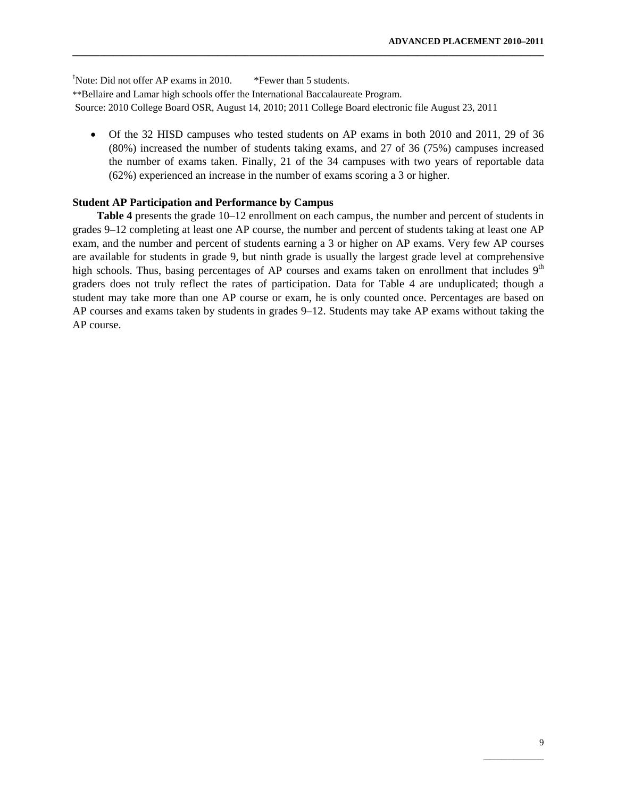† Note: Did not offer AP exams in 2010. \*Fewer than 5 students. \*\*Bellaire and Lamar high schools offer the International Baccalaureate Program. Source: 2010 College Board OSR, August 14, 2010; 2011 College Board electronic file August 23, 2011

• Of the 32 HISD campuses who tested students on AP exams in both 2010 and 2011, 29 of 36 (80%) increased the number of students taking exams, and 27 of 36 (75%) campuses increased the number of exams taken. Finally, 21 of the 34 campuses with two years of reportable data (62%) experienced an increase in the number of exams scoring a 3 or higher.

**\_\_\_\_\_\_\_\_\_\_\_\_\_\_\_\_\_\_\_\_\_\_\_\_\_\_\_\_\_\_\_\_\_\_\_\_\_\_\_\_\_\_\_\_\_\_\_\_\_\_\_\_\_\_\_\_\_\_\_\_\_\_\_\_\_\_\_\_\_\_\_\_\_\_\_\_\_\_\_\_\_\_\_\_\_\_\_\_\_\_\_\_\_\_\_\_\_\_\_\_\_\_\_\_** 

#### **Student AP Participation and Performance by Campus**

**Table 4** presents the grade 10–12 enrollment on each campus, the number and percent of students in grades 9–12 completing at least one AP course, the number and percent of students taking at least one AP exam, and the number and percent of students earning a 3 or higher on AP exams. Very few AP courses are available for students in grade 9, but ninth grade is usually the largest grade level at comprehensive high schools. Thus, basing percentages of AP courses and exams taken on enrollment that includes 9<sup>th</sup> graders does not truly reflect the rates of participation. Data for Table 4 are unduplicated; though a student may take more than one AP course or exam, he is only counted once. Percentages are based on AP courses and exams taken by students in grades 9–12. Students may take AP exams without taking the AP course.

 $\mathcal{L}_\mathcal{L}$  , which is a set of the set of the set of the set of the set of the set of the set of the set of the set of the set of the set of the set of the set of the set of the set of the set of the set of the set of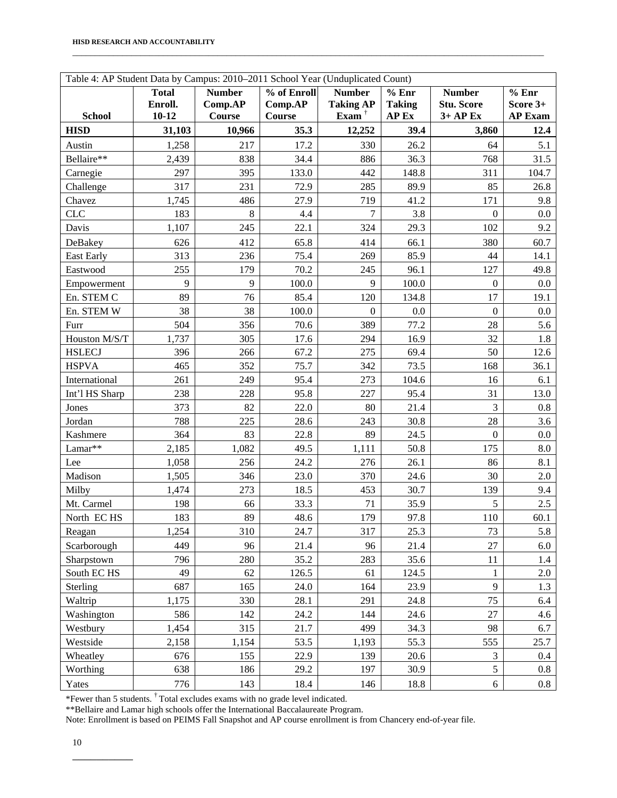| Table 4: AP Student Data by Campus: 2010-2011 School Year (Unduplicated Count) |                         |                          |                                               |                                   |                        |                                    |                   |
|--------------------------------------------------------------------------------|-------------------------|--------------------------|-----------------------------------------------|-----------------------------------|------------------------|------------------------------------|-------------------|
|                                                                                | <b>Total</b><br>Enroll. | <b>Number</b><br>Comp.AP | $\overline{\frac{9}{6}}$ of Enroll<br>Comp.AP | <b>Number</b><br><b>Taking AP</b> | % Enr<br><b>Taking</b> | <b>Number</b><br><b>Stu. Score</b> | % Enr<br>Score 3+ |
| <b>School</b>                                                                  | $10 - 12$               | Course                   | Course                                        | Exam $^{\dagger}$                 | AP Ex                  | $3+AP$ Ex                          | <b>AP Exam</b>    |
| <b>HISD</b>                                                                    | 31,103                  | 10,966                   | 35.3                                          | 12,252                            | 39.4                   | 3,860                              | 12.4              |
| Austin                                                                         | 1,258                   | 217                      | 17.2                                          | 330                               | 26.2                   | 64                                 | 5.1               |
| Bellaire**                                                                     | 2,439                   | 838                      | 34.4                                          | 886                               | 36.3                   | 768                                | 31.5              |
| Carnegie                                                                       | 297                     | 395                      | 133.0                                         | 442                               | 148.8                  | 311                                | 104.7             |
| Challenge                                                                      | 317                     | 231                      | 72.9                                          | 285                               | 89.9                   | 85                                 | 26.8              |
| Chavez                                                                         | 1,745                   | 486                      | 27.9                                          | 719                               | 41.2                   | 171                                | 9.8               |
| <b>CLC</b>                                                                     | 183                     | 8                        | 4.4                                           | 7                                 | 3.8                    | $\mathbf{0}$                       | 0.0               |
| Davis                                                                          | 1,107                   | 245                      | 22.1                                          | 324                               | 29.3                   | 102                                | 9.2               |
| DeBakey                                                                        | 626                     | 412                      | 65.8                                          | 414                               | 66.1                   | 380                                | 60.7              |
| <b>East Early</b>                                                              | 313                     | 236                      | 75.4                                          | 269                               | 85.9                   | 44                                 | 14.1              |
| Eastwood                                                                       | 255                     | 179                      | 70.2                                          | 245                               | 96.1                   | 127                                | 49.8              |
| Empowerment                                                                    | 9                       | 9                        | 100.0                                         | 9                                 | 100.0                  | $\boldsymbol{0}$                   | 0.0               |
| En. STEM C                                                                     | 89                      | 76                       | 85.4                                          | 120                               | 134.8                  | 17                                 | 19.1              |
| En. STEM W                                                                     | 38                      | 38                       | 100.0                                         | $\mathbf{0}$                      | 0.0                    | $\boldsymbol{0}$                   | 0.0               |
| Furr                                                                           | 504                     | 356                      | 70.6                                          | 389                               | 77.2                   | 28                                 | 5.6               |
| Houston M/S/T                                                                  | 1,737                   | 305                      | 17.6                                          | 294                               | 16.9                   | 32                                 | 1.8               |
| <b>HSLECJ</b>                                                                  | 396                     | 266                      | 67.2                                          | 275                               | 69.4                   | 50                                 | 12.6              |
| <b>HSPVA</b>                                                                   | 465                     | 352                      | 75.7                                          | 342                               | 73.5                   | 168                                | 36.1              |
| International                                                                  | 261                     | 249                      | 95.4                                          | 273                               | 104.6                  | 16                                 | 6.1               |
| Int'l HS Sharp                                                                 | 238                     | 228                      | 95.8                                          | 227                               | 95.4                   | 31                                 | 13.0              |
| Jones                                                                          | 373                     | 82                       | 22.0                                          | 80                                | 21.4                   | 3                                  | 0.8               |
| Jordan                                                                         | 788                     | 225                      | 28.6                                          | 243                               | 30.8                   | 28                                 | 3.6               |
| Kashmere                                                                       | 364                     | 83                       | 22.8                                          | 89                                | 24.5                   | $\boldsymbol{0}$                   | 0.0               |
| Lamar**                                                                        | 2,185                   | 1,082                    | 49.5                                          | 1,111                             | 50.8                   | 175                                | $8.0\,$           |
| Lee                                                                            | 1,058                   | 256                      | 24.2                                          | 276                               | 26.1                   | 86                                 | 8.1               |
| Madison                                                                        | 1,505                   | 346                      | 23.0                                          | 370                               | 24.6                   | 30                                 | 2.0               |
| Milby                                                                          | 1,474                   | 273                      | 18.5                                          | 453                               | 30.7                   | 139                                | 9.4               |
| Mt. Carmel                                                                     | 198                     | 66                       | 33.3                                          | 71                                | 35.9                   | 5                                  | 2.5               |
| North EC HS                                                                    | 183                     | 89                       | 48.6                                          | 179                               | 97.8                   | 110                                | 60.1              |
| Reagan                                                                         | 1,254                   | 310                      | 24.7                                          | 317                               | 25.3                   | 73                                 | 5.8               |
| Scarborough                                                                    | 449                     | 96                       | 21.4                                          | 96                                | 21.4                   | 27                                 | 6.0               |
| Sharpstown                                                                     | 796                     | 280                      | 35.2                                          | 283                               | 35.6                   | 11                                 | 1.4               |
| South EC HS                                                                    | 49                      | 62                       | 126.5                                         | 61                                | 124.5                  | $\mathbf{1}$                       | 2.0               |
| Sterling                                                                       | 687                     | 165                      | 24.0                                          | 164                               | 23.9                   | $\overline{9}$                     | 1.3               |
| Waltrip                                                                        | 1,175                   | 330                      | 28.1                                          | 291                               | 24.8                   | 75                                 | 6.4               |
| Washington                                                                     | 586                     | 142                      | 24.2                                          | 144                               | 24.6                   | $27\,$                             | 4.6               |
| Westbury                                                                       | 1,454                   | 315                      | 21.7                                          | 499                               | 34.3                   | 98                                 | 6.7               |
| Westside                                                                       | 2,158                   | 1,154                    | 53.5                                          | 1,193                             | 55.3                   | 555                                | 25.7              |
| Wheatley                                                                       | 676                     | 155                      | 22.9                                          | 139                               | 20.6                   | $\mathfrak{Z}$                     | $0.4\,$           |
| Worthing                                                                       | 638                     | 186                      | 29.2                                          | 197                               | 30.9                   | 5                                  | 0.8               |
| Yates                                                                          | 776                     | 143                      | 18.4                                          | 146                               | 18.8                   | 6                                  | 0.8               |

\_\_\_\_\_\_\_\_\_\_\_\_\_\_\_\_\_\_\_\_\_\_\_\_\_\_\_\_\_\_\_\_\_\_\_\_\_\_\_\_\_\_\_\_\_\_\_\_\_\_\_\_\_\_\_\_\_\_\_\_\_\_\_\_\_\_\_\_\_\_\_\_\_\_\_\_\_\_\_\_\_\_\_\_\_\_\_\_\_\_\_\_\_\_\_\_\_\_\_\_\_\_\_\_

\*Fewer than 5 students. † Total excludes exams with no grade level indicated.

\*\*Bellaire and Lamar high schools offer the International Baccalaureate Program.

Note: Enrollment is based on PEIMS Fall Snapshot and AP course enrollment is from Chancery end-of-year file.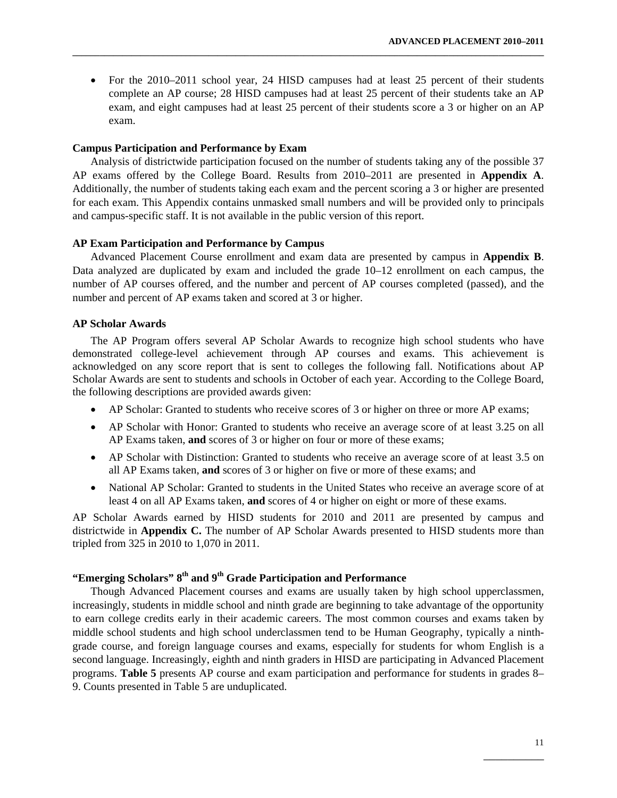• For the 2010–2011 school year, 24 HISD campuses had at least 25 percent of their students complete an AP course; 28 HISD campuses had at least 25 percent of their students take an AP exam, and eight campuses had at least 25 percent of their students score a 3 or higher on an AP exam.

**\_\_\_\_\_\_\_\_\_\_\_\_\_\_\_\_\_\_\_\_\_\_\_\_\_\_\_\_\_\_\_\_\_\_\_\_\_\_\_\_\_\_\_\_\_\_\_\_\_\_\_\_\_\_\_\_\_\_\_\_\_\_\_\_\_\_\_\_\_\_\_\_\_\_\_\_\_\_\_\_\_\_\_\_\_\_\_\_\_\_\_\_\_\_\_\_\_\_\_\_\_\_\_\_** 

#### **Campus Participation and Performance by Exam**

Analysis of districtwide participation focused on the number of students taking any of the possible 37 AP exams offered by the College Board. Results from 2010–2011 are presented in **Appendix A**. Additionally, the number of students taking each exam and the percent scoring a 3 or higher are presented for each exam. This Appendix contains unmasked small numbers and will be provided only to principals and campus-specific staff. It is not available in the public version of this report.

#### **AP Exam Participation and Performance by Campus**

Advanced Placement Course enrollment and exam data are presented by campus in **Appendix B**. Data analyzed are duplicated by exam and included the grade 10–12 enrollment on each campus, the number of AP courses offered, and the number and percent of AP courses completed (passed), and the number and percent of AP exams taken and scored at 3 or higher.

# **AP Scholar Awards**

The AP Program offers several AP Scholar Awards to recognize high school students who have demonstrated college-level achievement through AP courses and exams. This achievement is acknowledged on any score report that is sent to colleges the following fall. Notifications about AP Scholar Awards are sent to students and schools in October of each year. According to the College Board, the following descriptions are provided awards given:

- AP Scholar: Granted to students who receive scores of 3 or higher on three or more AP exams;
- AP Scholar with Honor: Granted to students who receive an average score of at least 3.25 on all AP Exams taken, **and** scores of 3 or higher on four or more of these exams;
- AP Scholar with Distinction: Granted to students who receive an average score of at least 3.5 on all AP Exams taken, **and** scores of 3 or higher on five or more of these exams; and
- National AP Scholar: Granted to students in the United States who receive an average score of at least 4 on all AP Exams taken, **and** scores of 4 or higher on eight or more of these exams.

AP Scholar Awards earned by HISD students for 2010 and 2011 are presented by campus and districtwide in **Appendix C.** The number of AP Scholar Awards presented to HISD students more than tripled from 325 in 2010 to 1,070 in 2011.

# **"Emerging Scholars" 8th and 9th Grade Participation and Performance**

Though Advanced Placement courses and exams are usually taken by high school upperclassmen, increasingly, students in middle school and ninth grade are beginning to take advantage of the opportunity to earn college credits early in their academic careers. The most common courses and exams taken by middle school students and high school underclassmen tend to be Human Geography, typically a ninthgrade course, and foreign language courses and exams, especially for students for whom English is a second language. Increasingly, eighth and ninth graders in HISD are participating in Advanced Placement programs. **Table 5** presents AP course and exam participation and performance for students in grades 8– 9. Counts presented in Table 5 are unduplicated.

 $\mathcal{L}_\mathcal{L}$  , which is a set of the set of the set of the set of the set of the set of the set of the set of the set of the set of the set of the set of the set of the set of the set of the set of the set of the set of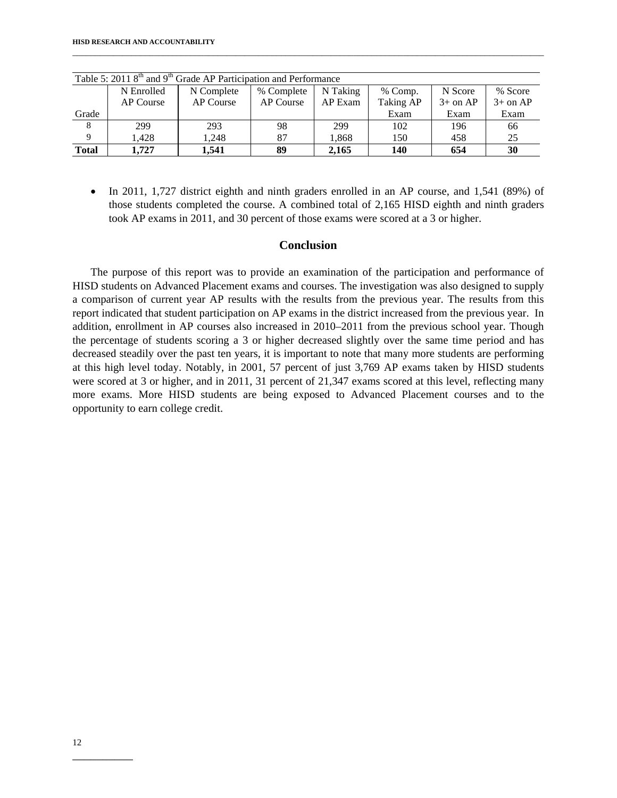|                |            | Table 5: 2011 $8th$ and 9 <sup>th</sup> Grade AP Participation and Performance |            |          |            |            |            |
|----------------|------------|--------------------------------------------------------------------------------|------------|----------|------------|------------|------------|
|                | N Enrolled | N Complete                                                                     | % Complete | N Taking | % Comp.    | N Score    | % Score    |
|                | AP Course  | AP Course                                                                      | AP Course  | AP Exam  | Taking AP  | $3+$ on AP | $3+$ on AP |
| Grade          |            |                                                                                |            |          | Exam       | Exam       | Exam       |
| 8 <sup>8</sup> | 299        | 293                                                                            | 98         | 299      | 102        | 196        | 66         |
| 9              | 1.428      | 1.248                                                                          | 87         | 1,868    | 150        | 458        | 25         |
| <b>Total</b>   | 1.727      | 1.541                                                                          | 89         | 2.165    | <b>140</b> | 654        | 30         |

\_\_\_\_\_\_\_\_\_\_\_\_\_\_\_\_\_\_\_\_\_\_\_\_\_\_\_\_\_\_\_\_\_\_\_\_\_\_\_\_\_\_\_\_\_\_\_\_\_\_\_\_\_\_\_\_\_\_\_\_\_\_\_\_\_\_\_\_\_\_\_\_\_\_\_\_\_\_\_\_\_\_\_\_\_\_\_\_\_\_\_\_\_\_\_\_\_\_\_\_\_\_\_\_

• In 2011, 1,727 district eighth and ninth graders enrolled in an AP course, and 1,541 (89%) of those students completed the course. A combined total of 2,165 HISD eighth and ninth graders took AP exams in 2011, and 30 percent of those exams were scored at a 3 or higher.

### **Conclusion**

The purpose of this report was to provide an examination of the participation and performance of HISD students on Advanced Placement exams and courses. The investigation was also designed to supply a comparison of current year AP results with the results from the previous year. The results from this report indicated that student participation on AP exams in the district increased from the previous year. In addition, enrollment in AP courses also increased in 2010–2011 from the previous school year. Though the percentage of students scoring a 3 or higher decreased slightly over the same time period and has decreased steadily over the past ten years, it is important to note that many more students are performing at this high level today. Notably, in 2001, 57 percent of just 3,769 AP exams taken by HISD students were scored at 3 or higher, and in 2011, 31 percent of 21,347 exams scored at this level, reflecting many more exams. More HISD students are being exposed to Advanced Placement courses and to the opportunity to earn college credit.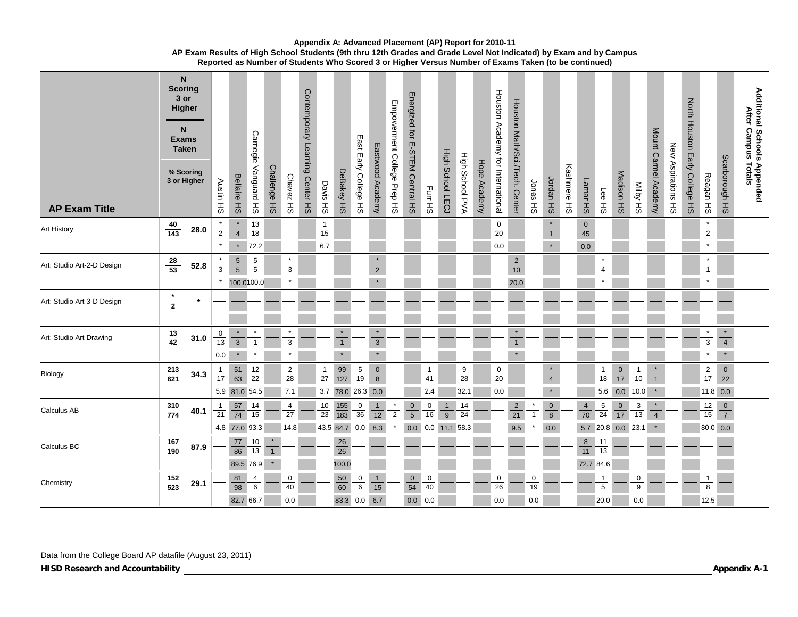| <b>AP Exam Title</b>       | <b>Scoring</b><br>3 or<br><b>Exams</b> | N<br>Higher<br>N<br><b>Taken</b><br>% Scoring<br>3 or Higher | Austin HS                       | <b>Bellaire</b><br>$\pm 0$                 | Carnegie Vanguard<br>$\frac{\pi}{6}$ | <b>Challenge</b><br>$\pm 0$                  | <b>Chavez</b><br>$\pm$      | Contemporary Learning Center HS | Davis HS                               | DeBakey HS                          | East Early College HS                 | Eastwood Academy                              | Empowerment College Prep HS | Energized for<br>E-STEM Central HS | Furr HS                                  | <b>High School LECJ</b> | High School PVA                   | Hope Academy | Houston Academy for International     | Houston Math/Sci./Tech.<br><b>Center</b> | Jones<br>공               | Jordan HS                            | Kashmere HS | Lamar HS                   | Lee HS                                                 | Madison HS            | <b>SH AGIIN</b>            | Mount Carmel Academy      | New Aspirations HS | North Houston Early College HS | Reagan HS                            | Scarborough HS                       | Additional Schools Appended<br>After Campus Totals |
|----------------------------|----------------------------------------|--------------------------------------------------------------|---------------------------------|--------------------------------------------|--------------------------------------|----------------------------------------------|-----------------------------|---------------------------------|----------------------------------------|-------------------------------------|---------------------------------------|-----------------------------------------------|-----------------------------|------------------------------------|------------------------------------------|-------------------------|-----------------------------------|--------------|---------------------------------------|------------------------------------------|--------------------------|--------------------------------------|-------------|----------------------------|--------------------------------------------------------|-----------------------|----------------------------|---------------------------|--------------------|--------------------------------|--------------------------------------|--------------------------------------|----------------------------------------------------|
| Art History                | 40<br>$\frac{1}{143}$                  | 28.0                                                         | $\overline{2}$                  | $\overline{4}$<br>$\star$                  | 13<br>18<br>72.2                     |                                              |                             |                                 | $\mathbf{1}$<br>15<br>6.7              |                                     |                                       |                                               |                             |                                    |                                          |                         |                                   |              | $\pmb{0}$<br>20<br>0.0                |                                          |                          | $\star$<br>$\mathbf{1}$<br>$\star$   |             | $\pmb{0}$<br>$45\,$<br>0.0 |                                                        |                       |                            |                           |                    |                                | $\star$<br>$\sqrt{2}$                |                                      |                                                    |
| Art: Studio Art-2-D Design | $\frac{28}{53}$                        | 52.8                                                         | $\overline{3}$                  | $\sqrt{5}$<br>$\overline{5}$<br>100.0100.0 | $\sqrt{5}$<br>$\overline{5}$         |                                              | 3                           |                                 |                                        |                                     |                                       | $\overline{2}$                                |                             |                                    |                                          |                         |                                   |              |                                       | $\overline{2}$<br>10<br>20.0             |                          |                                      |             |                            | $\overline{4}$                                         |                       |                            |                           |                    |                                | $\mathbf{1}$                         |                                      |                                                    |
| Art: Studio Art-3-D Design | $\overline{2}$                         |                                                              |                                 |                                            |                                      |                                              |                             |                                 |                                        |                                     |                                       |                                               |                             |                                    |                                          |                         |                                   |              |                                       |                                          |                          |                                      |             |                            |                                                        |                       |                            |                           |                    |                                |                                      |                                      |                                                    |
| Art: Studio Art-Drawing    | $\frac{13}{42}$                        | 31.0                                                         | $\mathbf 0$<br>13<br>0.0        | $\overline{3}$                             | $\overline{1}$<br>$\pmb{\ast}$       |                                              | 3<br>$\star$                |                                 |                                        | $\star$<br>$\mathbf{1}$<br>$\star$  |                                       | $\star$<br>$\overline{\mathbf{3}}$<br>$\star$ |                             |                                    |                                          |                         |                                   |              |                                       | $\star$<br>$\mathbf{1}$                  |                          |                                      |             |                            |                                                        |                       |                            |                           |                    |                                | $\star$<br>$\overline{3}$<br>$\star$ | $\star$<br>$\overline{4}$<br>$\star$ |                                                    |
| Biology                    | $\frac{213}{621}$                      | 34.3                                                         | $\mathbf{1}$<br>$\overline{17}$ | 51<br>$\overline{63}$<br>5.9 81.0 54.5     | 12<br>$\overline{22}$                |                                              | $\overline{2}$<br>28<br>7.1 |                                 | $\mathbf{1}$<br>$\overline{27}$<br>3.7 | $\frac{99}{127}$<br>78.0 26.3 0.0   | $\frac{5}{19}$                        | $\mathbf{0}$<br>$\overline{8}$                |                             |                                    | 1<br>41<br>2.4                           |                         | 9<br>28<br>32.1                   |              | $\mathbf 0$<br>$\overline{20}$<br>0.0 |                                          |                          | $\star$<br>$\overline{4}$<br>$\star$ |             |                            | 1<br>$\overline{18}$<br>5.6                            | $\frac{0}{17}$<br>0.0 | $\mathbf{1}$<br>10<br>10.0 | $\overline{1}$<br>$\star$ |                    |                                | $\overline{2}$<br>17<br>$11.8$ 0.0   | $\mathbf 0$<br>$\overline{22}$       |                                                    |
| Calculus AB                | $\frac{310}{774}$                      | 40.1                                                         | $\mathbf{1}$<br>21              | 57<br>$\overline{74}$<br>4.8 77.0 93.3     | 14<br>15                             |                                              | 4<br>27<br>14.8             |                                 | 10<br>$\overline{23}$                  | 155<br>$\frac{1}{183}$<br>43.5 84.7 | $\frac{0}{36}$<br>0.0                 | $\mathbf{1}$<br>12<br>8.3                     | $\overline{2}$              | $\mathbf 0$<br>$\sqrt{5}$<br>0.0   | $\begin{array}{c}\n0 \\ 16\n\end{array}$ | 1<br>9                  | 14<br>24<br>$\big $ 0.0 11.1 58.3 |              |                                       | $\sqrt{2}$<br>21<br>9.5                  | $\mathbf{1}$             | $\pmb{0}$<br>$\bf8$<br>0.0           |             | $\overline{4}$<br>70       | $\overline{5}$<br>$\overline{24}$<br>5.7 20.8 0.0 23.1 | $\frac{0}{17}$        | $\overline{3}$<br>13       | $\star$<br>$\overline{4}$ |                    |                                | 12<br>15<br>80.0 0.0                 | $\mathbf 0$<br>$\overline{7}$        |                                                    |
| Calculus BC                | $\frac{167}{190}$                      | 87.9                                                         |                                 | 77<br>86<br>89.5 76.9                      | 10<br>13                             | $\pmb{\ast}$<br>$\mathbf{1}$<br>$\pmb{\ast}$ |                             |                                 |                                        | 26<br>26<br>100.0                   |                                       |                                               |                             |                                    |                                          |                         |                                   |              |                                       |                                          |                          |                                      |             | 8<br>$\overline{11}$       | 11<br>13<br>72.7 84.6                                  |                       |                            |                           |                    |                                |                                      |                                      |                                                    |
| Chemistry                  | $\frac{152}{523}$                      | 29.1                                                         |                                 | 81<br>98<br>82.7 66.7                      | 4<br>6                               |                                              | 0<br>40<br>0.0              |                                 |                                        | 50<br>$\overline{60}$<br>83.3       | $\begin{array}{c} 0 \\ 6 \end{array}$ | $\mathbf{1}$<br>15<br>$0.0 \, 6.7$            |                             | $\overline{0}$<br>54<br>0.0        | 0<br>40<br>0.0                           |                         |                                   |              | 0<br>26<br>0.0                        |                                          | $\mathbf 0$<br>19<br>0.0 |                                      |             |                            | $\mathbf{1}$<br>5<br>20.0                              |                       | 0<br>9<br>0.0              |                           |                    |                                | $\mathbf{1}$<br>8<br>12.5            |                                      |                                                    |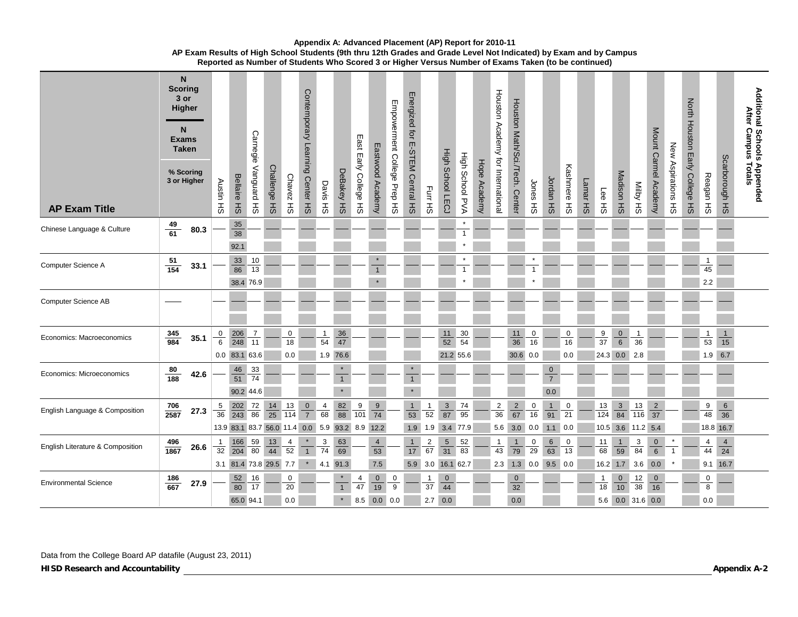| <b>AP Exam Title</b>             | <b>Scoring</b>     | N<br>3 or<br>Higher<br>N <sub>1</sub><br><b>Exams</b><br><b>Taken</b><br>% Scoring<br>3 or Higher | Austin HS            | <b>Bellaire HS</b>                                     | Carnegie<br>Vanguard HS | Challenge HS    | <b>Chavez</b><br>공    | Contemporary Learning Center HS | Davis HS                    | DeBakey HS                         | East Early College HS | Eastwood Academy                         | Empowerment College Prep HS | Energized<br>$\vec{Q}$<br>E-STEM Central HS | Furr HS                   | <b>High School LECJ</b>                        | High School PVA             | Hope Academy | Houston Academy for International | Horaton Math/Sci/Tech<br><b>Center</b>           | Jones HS       | Jordan HS                             | Kashmere HS    | Lamar HS | Lee HS                        | Madison HS                       | <b>SH AgilM</b>                      | Mount Carmel Academy              | New Aspirations HS | <b>North Houston</b><br>Early College HS | Reagan HS                       | Scarborough HS                                | Additional Schools Appended<br>After Campus Totals |
|----------------------------------|--------------------|---------------------------------------------------------------------------------------------------|----------------------|--------------------------------------------------------|-------------------------|-----------------|-----------------------|---------------------------------|-----------------------------|------------------------------------|-----------------------|------------------------------------------|-----------------------------|---------------------------------------------|---------------------------|------------------------------------------------|-----------------------------|--------------|-----------------------------------|--------------------------------------------------|----------------|---------------------------------------|----------------|----------|-------------------------------|----------------------------------|--------------------------------------|-----------------------------------|--------------------|------------------------------------------|---------------------------------|-----------------------------------------------|----------------------------------------------------|
| Chinese Language & Culture       | $\frac{49}{61}$    | 80.3                                                                                              |                      | 35<br>38<br>92.1                                       |                         |                 |                       |                                 |                             |                                    |                       |                                          |                             |                                             |                           |                                                | $\mathbf{1}$                |              |                                   |                                                  |                |                                       |                |          |                               |                                  |                                      |                                   |                    |                                          |                                 |                                               |                                                    |
| Computer Science A               | $\frac{51}{154}$   | 33.1                                                                                              |                      | 33<br>86<br>38.4 76.9                                  | $10$<br>13              |                 |                       |                                 |                             |                                    |                       | $\star$<br>$\mathbf{1}$                  |                             |                                             |                           |                                                |                             |              |                                   |                                                  |                |                                       |                |          |                               |                                  |                                      |                                   |                    |                                          | $\mathbf{1}$<br>45<br>2.2       |                                               |                                                    |
| <b>Computer Science AB</b>       |                    |                                                                                                   |                      |                                                        |                         |                 |                       |                                 |                             |                                    |                       |                                          |                             |                                             |                           |                                                |                             |              |                                   |                                                  |                |                                       |                |          |                               |                                  |                                      |                                   |                    |                                          |                                 |                                               |                                                    |
| Economics: Macroeconomics        | $\frac{345}{984}$  | 35.1                                                                                              |                      | $\frac{0}{6}$ $\frac{206}{248}$<br>0.0 83.1 63.6       | $\overline{7}$<br>11    |                 | 0<br>18<br>0.0        |                                 | $\mathbf{1}$<br>54          | 36<br>$\overline{47}$<br>1.9 76.6  |                       |                                          |                             |                                             |                           | 11<br>$\overline{52}$                          | 30<br>54<br>21.2 55.6       |              |                                   | 11<br>36<br>30.6 0.0                             | 0<br>16        |                                       | 0<br>16<br>0.0 |          | 9<br>37<br>24.3 0.0           | $\overline{0}$<br>$\overline{6}$ | $\mathbf{1}$<br>36<br> 2.8           |                                   |                    |                                          | $\mathbf{1}$<br>53<br>$1.9$ 6.7 | $\overline{1}$<br>15                          |                                                    |
| Economics: Microeconomics        | $\frac{80}{188}$   | 42.6                                                                                              |                      | 46<br>51<br>90.2 44.6                                  | 33<br>74                |                 |                       |                                 |                             | $\star$<br>$\mathbf{1}$<br>$\star$ |                       |                                          |                             | $\star$<br>$\mathbf{1}$<br>$\star$          |                           |                                                |                             |              |                                   |                                                  |                | $\mathbf{0}$<br>$\overline{7}$<br>0.0 |                |          |                               |                                  |                                      |                                   |                    |                                          |                                 |                                               |                                                    |
| English Language & Composition   | $\frac{706}{2587}$ | 27.3                                                                                              | 5<br>36              | 202<br>$\frac{1}{243}$<br>13.9 83.1 83.7 56.0 11.4 0.0 | $\frac{72}{86}$         | $\frac{14}{25}$ | 13<br>$\frac{1}{114}$ | $\frac{0}{7}$                   | $\overline{4}$<br>68<br>5.9 | $\frac{82}{88}$                    | $\frac{9}{101}$       | 9<br>$\frac{1}{74}$<br>93.2 8.9 12.2     |                             | 1<br>53<br>1.9                              | $\frac{1}{52}$<br>1.9     | $\overline{3}$<br>$\overline{87}$              | $\frac{74}{95}$<br>3.4 77.9 |              | $\frac{2}{36}$<br>5.6             | $\frac{2}{67}$<br>3.0                            | 0<br>16<br>0.0 | $\mathbf{1}$<br>91<br>1.1             | 0<br>21<br>0.0 |          | 13<br>$\frac{1}{124}$<br>10.5 | $\frac{3}{84}$<br>3.6            | 13<br>$\overline{116}$<br>$11.2$ 5.4 | $\overline{2}$<br>$\overline{37}$ |                    |                                          | 9<br>48<br>18.8 16.7            | 6<br>$\overline{36}$                          |                                                    |
| English Literature & Composition | $\frac{496}{1867}$ | 26.6                                                                                              | $\overline{1}$<br>32 | 166<br>$\overline{204}$<br>3.1 81.4 73.8 29.5 7.7      | $\frac{59}{80}$         | $\frac{13}{44}$ | $\overline{4}$<br>52  | $\mathbf{1}$<br>$\star$         | 3<br>$\overline{74}$<br>4.1 | 63<br>69<br>91.3                   |                       | $\overline{4}$<br>$\overline{53}$<br>7.5 |                             | $\mathbf{1}$<br>$17$                        | $\frac{2}{67}$<br>5.9 3.0 | $\overline{5}$<br>$\overline{31}$<br>16.1 62.7 | 52<br>83                    |              | $\mathbf{1}$<br>43                | $\mathbf{1}$<br>$\overline{79}$<br>$2.3$ 1.3 0.0 | 0<br>29        | $6\phantom{1}$<br>63<br>$9.5$ 0.0     | 0<br>13        |          | 11<br>68<br>$16.2$ 1.7        | $\mathbf{1}$<br>$\overline{59}$  | 3<br>84<br>3.6                       | $\mathbf 0$<br>$\sqrt{6}$<br>0.0  |                    |                                          | 4<br>44                         | $\overline{4}$<br>$\overline{24}$<br>9.1 16.7 |                                                    |
| <b>Environmental Science</b>     | $\frac{186}{667}$  | 27.9                                                                                              |                      | 52<br>80<br>65.0 94.1                                  | 16<br>17                |                 | 0<br>20<br>0.0        |                                 |                             | $\star$<br>$\mathbf{1}$<br>$\star$ | 4<br>47<br>8.5        | $\mathbf 0$<br>19<br>$0.0\ 0.0$          | 0<br>9                      |                                             | $\mathbf{1}$<br>37        | $\mathbf 0$<br>44<br>$2.7 \quad 0.0$           |                             |              |                                   | $\mathbf 0$<br>32<br>0.0                         |                |                                       |                |          | $\mathbf{1}$<br>18            | $\pmb{0}$<br>10                  | 12<br>38<br>5.6 0.0 31.6 0.0         | $\mathbf 0$<br>16                 |                    |                                          | $\mathbf 0$<br>8<br>0.0         |                                               |                                                    |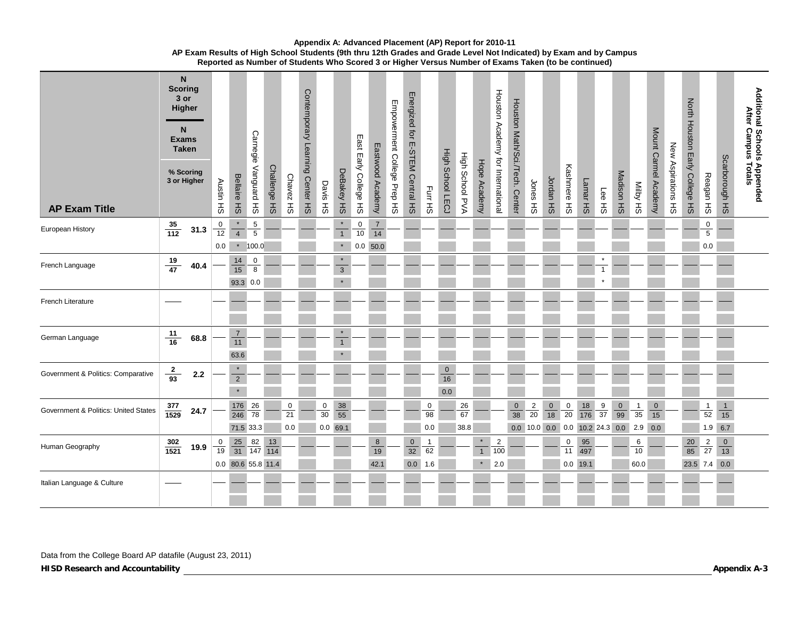| <b>AP Exam Title</b>                 |                    | N<br><b>Scoring</b><br>3 or<br>Higher<br>N<br><b>Exams</b><br><b>Taken</b><br>% Scoring<br>3 or Higher | Austin HS                | <b>Bellaire HS</b>                    | Carnegie Vanguard HS                           | Challenge HS                      | Chavez HS      | Contemporary Learning Center HS | Davis HS             | DeBakey HS                           | East Early College HS                  | Eastwood<br>Academy                             | Empowerment College Prep HS | Energized for<br>E-STEM Central HS | Furr HS                     | <b>High School LECJ</b>   | High School PVA  | Hope Academy                                  | Houston Academy for International | Houston Math/Sci./Tech. Center | Jones <sub>HS</sub> | Jordan HS      | Kashmere HS    | Lamar HS                                             | Lee HS         | Madison HS     | SH AqiiM                  | Mount Carmel Academy     | New Aspirations HS | North Houston Early College HS | Reagan HS                                    | Scarborough HS                   | Additional Schools Appended<br>After Campus Totals |
|--------------------------------------|--------------------|--------------------------------------------------------------------------------------------------------|--------------------------|---------------------------------------|------------------------------------------------|-----------------------------------|----------------|---------------------------------|----------------------|--------------------------------------|----------------------------------------|-------------------------------------------------|-----------------------------|------------------------------------|-----------------------------|---------------------------|------------------|-----------------------------------------------|-----------------------------------|--------------------------------|---------------------|----------------|----------------|------------------------------------------------------|----------------|----------------|---------------------------|--------------------------|--------------------|--------------------------------|----------------------------------------------|----------------------------------|----------------------------------------------------|
| European History                     | $\frac{35}{112}$   | 31.3                                                                                                   | $\mathbf 0$<br>12<br>0.0 | $\overline{4}$<br>$\star$             | $\frac{5}{5}$<br>100.0                         |                                   |                |                                 |                      | $\star$<br>$\overline{1}$<br>$\star$ | $\begin{array}{c} 0 \\ 10 \end{array}$ | $\overline{7}$<br>$\overline{14}$<br>$0.0$ 50.0 |                             |                                    |                             |                           |                  |                                               |                                   |                                |                     |                |                |                                                      |                |                |                           |                          |                    |                                | $\bf{0}$<br>$\overline{5}$<br>0.0            |                                  |                                                    |
| French Language                      | $\frac{19}{47}$    | 40.4                                                                                                   |                          | $\frac{14}{15}$<br>93.3 0.0           | 0<br>$\overline{8}$                            |                                   |                |                                 |                      | $\star$<br>$\overline{3}$            |                                        |                                                 |                             |                                    |                             |                           |                  |                                               |                                   |                                |                     |                |                |                                                      | $\overline{1}$ |                |                           |                          |                    |                                |                                              |                                  |                                                    |
| French Literature                    |                    |                                                                                                        |                          |                                       |                                                |                                   |                |                                 |                      |                                      |                                        |                                                 |                             |                                    |                             |                           |                  |                                               |                                   |                                |                     |                |                |                                                      |                |                |                           |                          |                    |                                |                                              |                                  |                                                    |
| German Language                      | $\frac{11}{16}$    | 68.8                                                                                                   |                          | $\overline{7}$<br>$11$<br>63.6        |                                                |                                   |                |                                 |                      | $\star$<br>$\mathbf{1}$<br>$\star$   |                                        |                                                 |                             |                                    |                             |                           |                  |                                               |                                   |                                |                     |                |                |                                                      |                |                |                           |                          |                    |                                |                                              |                                  |                                                    |
| Government & Politics: Comparative   | $\frac{2}{93}$     | $2.2$                                                                                                  |                          | $\star$<br>$\overline{2}$<br>$\star$  |                                                |                                   |                |                                 |                      |                                      |                                        |                                                 |                             |                                    |                             | $\mathbf{0}$<br>16<br>0.0 |                  |                                               |                                   |                                |                     |                |                |                                                      |                |                |                           |                          |                    |                                |                                              |                                  |                                                    |
| Government & Politics: United States | $\frac{377}{1529}$ | 24.7                                                                                                   |                          |                                       | $\frac{176}{246}$ $\frac{26}{78}$<br>71.5 33.3 |                                   | 0<br>21<br>0.0 |                                 | 0<br>$\overline{30}$ | $\frac{38}{55}$<br>$0.0$ 69.1        |                                        |                                                 |                             |                                    | $\overline{0}$<br>98<br>0.0 |                           | 26<br>67<br>38.8 |                                               |                                   | $\pmb{0}$<br>38                | $\frac{2}{20}$      | $\frac{0}{18}$ | $\frac{0}{20}$ | $\frac{18}{176}$<br>$0.0$ 10.0 0.0 0.0 10.2 24.3 0.0 | $\frac{9}{37}$ | $\frac{0}{99}$ | $\mathbf{1}$<br>35<br>2.9 | $\mathbf 0$<br>15<br>0.0 |                    |                                | $\mathbf{1}$<br>$\overline{52}$<br>$1.9$ 6.7 | $\mathbf{1}$<br>$\overline{15}$  |                                                    |
| Human Geography                      | $\frac{302}{1521}$ | 19.9                                                                                                   | 0<br>$\overline{19}$     | $\frac{25}{31}$<br>0.0 80.6 55.8 11.4 |                                                | $\frac{82}{147}$ $\frac{13}{114}$ |                |                                 |                      |                                      |                                        | 8<br>19<br>42.1                                 |                             | $\mathbf 0$<br>32                  | 62<br>0.0 1.6               |                           |                  | $\pmb{\star}$<br>$\mathbf{1}$<br>$\pmb{\ast}$ | $\overline{2}$<br>100<br>2.0      |                                |                     |                | 0<br>11        | 95<br>497<br>$0.0$ 19.1                              |                |                | 6<br>10<br>60.0           |                          |                    | $20\,$<br>85<br>23.5 7.4 0.0   | $\frac{2}{27}$                               | $\overline{0}$<br>$\frac{1}{13}$ |                                                    |
| Italian Language & Culture           |                    |                                                                                                        |                          |                                       |                                                |                                   |                |                                 |                      |                                      |                                        |                                                 |                             |                                    |                             |                           |                  |                                               |                                   |                                |                     |                |                |                                                      |                |                |                           |                          |                    |                                |                                              |                                  |                                                    |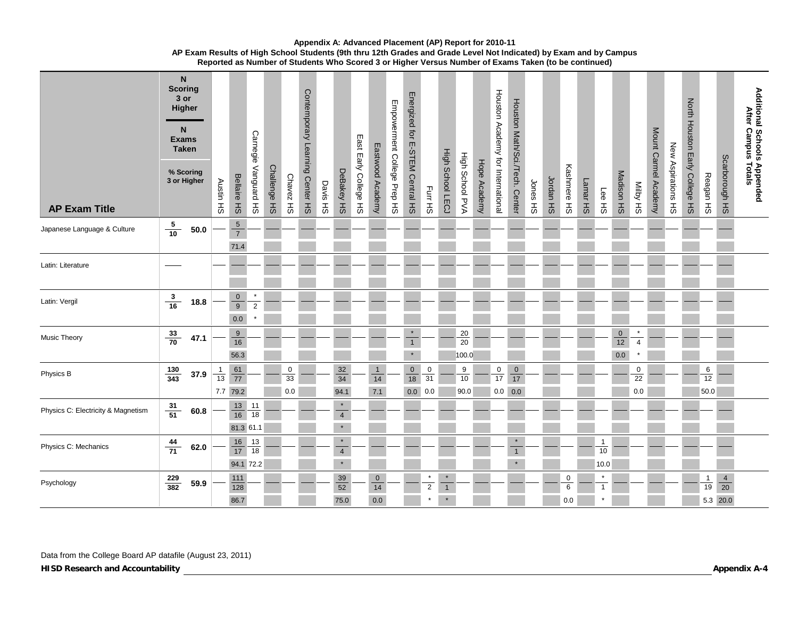| <b>AP Exam Title</b>               | <b>Scoring</b>    | N<br>$3$ or<br>Higher<br>N<br><b>Exams</b><br><b>Taken</b><br>% Scoring<br>3 or Higher | Austin HS      | Bellaire HS                              | Carnegie Vanguard HS           | Challenge HS | Chavez HS      | Contemporary Learning Center HS | Davis HS | DeBakey HS                                    | East Early College HS | Eastwood Academy          | Empowerment College Prep HS | Energized for E-STEM Central HS    | Furr HS                       | <b>High School LECJ</b>   | High School PVA        | Hope Academy | Houston Academy for International | Houston Math/Sci./Tech. Center | Jones HS | Jordan HS | Kashmere HS       | Lamar HS | Lee HS                     | Madison HS             | SH AqiiM                  | Mount Carmel Academy | New Aspirations HS | North Houston Early College HS | Reagan HS                    | Scarborough HS             | Additional Schools Appended<br>After Campus Totals |
|------------------------------------|-------------------|----------------------------------------------------------------------------------------|----------------|------------------------------------------|--------------------------------|--------------|----------------|---------------------------------|----------|-----------------------------------------------|-----------------------|---------------------------|-----------------------------|------------------------------------|-------------------------------|---------------------------|------------------------|--------------|-----------------------------------|--------------------------------|----------|-----------|-------------------|----------|----------------------------|------------------------|---------------------------|----------------------|--------------------|--------------------------------|------------------------------|----------------------------|----------------------------------------------------|
| Japanese Language & Culture        | $\frac{5}{10}$    | $\bf 50.0$                                                                             |                | $\overline{5}$<br>$\overline{7}$<br>71.4 |                                |              |                |                                 |          |                                               |                       |                           |                             |                                    |                               |                           |                        |              |                                   |                                |          |           |                   |          |                            |                        |                           |                      |                    |                                |                              |                            |                                                    |
| Latin: Literature                  |                   |                                                                                        |                |                                          |                                |              |                |                                 |          |                                               |                       |                           |                             |                                    |                               |                           |                        |              |                                   |                                |          |           |                   |          |                            |                        |                           |                      |                    |                                |                              |                            |                                                    |
| Latin: Vergil                      | $\frac{3}{16}$    | 18.8                                                                                   |                | $\frac{0}{9}$<br>0.0                     | $\pmb{\ast}$<br>$\overline{2}$ |              |                |                                 |          |                                               |                       |                           |                             |                                    |                               |                           |                        |              |                                   |                                |          |           |                   |          |                            |                        |                           |                      |                    |                                |                              |                            |                                                    |
| <b>Music Theory</b>                | $\frac{33}{70}$   | 47.1                                                                                   |                | 9<br>16<br>56.3                          |                                |              |                |                                 |          |                                               |                       |                           |                             | $\star$<br>$\mathbf{1}$<br>$\star$ |                               |                           | 20<br>20<br>100.0      |              |                                   |                                |          |           |                   |          |                            | $\pmb{0}$<br>12<br>0.0 | $\star$<br>$\overline{4}$ |                      |                    |                                |                              |                            |                                                    |
| Physics B                          | $\frac{130}{343}$ | 37.9                                                                                   | $\frac{1}{13}$ | $\frac{61}{77}$<br>7.7 79.2              |                                |              | 0<br>33<br>0.0 |                                 |          | 32<br>$\overline{34}$<br>94.1                 |                       | $\mathbf{1}$<br>14<br>7.1 |                             | $\overline{0}$<br>18               | $\pmb{0}$<br>31<br>$0.0\ 0.0$ |                           | $\frac{9}{10}$<br>90.0 |              | $\frac{0}{17}$<br>$0.0\ 0.0$      | $\mathbf 0$<br>$\overline{17}$ |          |           |                   |          |                            |                        | $\mathsf 0$<br>22<br>0.0  |                      |                    |                                | $6\overline{}$<br>12<br>50.0 |                            |                                                    |
| Physics C: Electricity & Magnetism | $\frac{31}{51}$   | 60.8                                                                                   |                | $\frac{13}{16}$<br>81.3 61.1             | 11<br>18                       |              |                |                                 |          | $\star$<br>$\overline{\mathbf{4}}$<br>$\star$ |                       |                           |                             |                                    |                               |                           |                        |              |                                   |                                |          |           |                   |          |                            |                        |                           |                      |                    |                                |                              |                            |                                                    |
| Physics C: Mechanics               | $\frac{44}{71}$   | 62.0                                                                                   |                | $\frac{16}{17}$<br>94.1 72.2             | 13<br>18                       |              |                |                                 |          | $\star$<br>$\overline{4}$<br>$\star$          |                       |                           |                             |                                    |                               |                           |                        |              |                                   | $\star$<br>$\overline{1}$      |          |           |                   |          | $\mathbf{1}$<br>10<br>10.0 |                        |                           |                      |                    |                                |                              |                            |                                                    |
| Psychology                         | $\frac{229}{382}$ | 59.9                                                                                   |                | 111<br>128<br>86.7                       |                                |              |                |                                 |          | $\frac{39}{52}$<br>75.0                       |                       | $\mathbf 0$<br>14<br>0.0  |                             |                                    | $\star$<br>$\overline{2}$     | $\star$<br>$\overline{1}$ |                        |              |                                   |                                |          |           | 0<br>6<br>$0.0\,$ |          | $\star$<br>$\mathbf{1}$    |                        |                           |                      |                    |                                | $\mathbf{1}$<br>19           | $\frac{4}{20}$<br>5.3 20.0 |                                                    |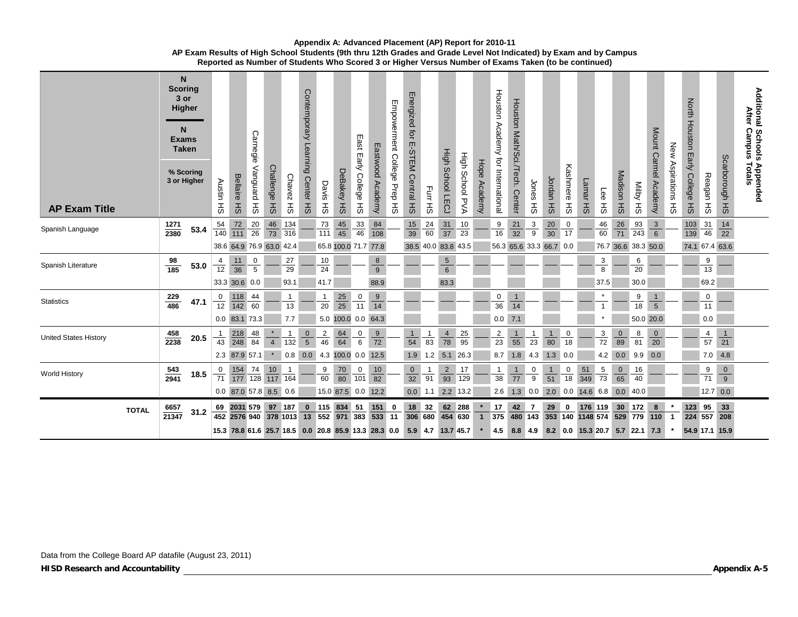|                       | N.<br><b>Scoring</b><br>3 or<br>Higher<br>N<br><b>Exams</b><br><b>Taken</b><br>% Scoring<br>3 or Higher |      | Austin           | <b>Bellaire</b>                                                     | Carnegie<br>Vanguard | <b>Challenge</b> | <b>Chavez</b>         | Contemporary Learning<br>Center HS | Davis HS              | DeBakey HS           | East<br>$\blacksquare$<br>ärly<br>College | Eastwood<br>Academy  | Empowerment College<br>Prep <sub>HS</sub> | Energized for E-STEM<br>Central HS | Furr HS              | High School LECJ                  | High School PVA | Hope Academy | Houston Academy for International | Houston Math/Sci./Tech.<br><b>Center</b> | Jones              | Jordan               | Kashmere      | Lamar HS                               | Lee             | Madison HS      | SH AgliM             | Mount Carmel Academy           | New<br>Aspirations | <b>North</b><br>Houston Early<br>College | Reagan HS       | Scarborough HS  | <b>Additional Schools</b><br><b>After</b><br><b>Campus</b><br>s Appended<br>Fotals |
|-----------------------|---------------------------------------------------------------------------------------------------------|------|------------------|---------------------------------------------------------------------|----------------------|------------------|-----------------------|------------------------------------|-----------------------|----------------------|-------------------------------------------|----------------------|-------------------------------------------|------------------------------------|----------------------|-----------------------------------|-----------------|--------------|-----------------------------------|------------------------------------------|--------------------|----------------------|---------------|----------------------------------------|-----------------|-----------------|----------------------|--------------------------------|--------------------|------------------------------------------|-----------------|-----------------|------------------------------------------------------------------------------------|
| <b>AP Exam Title</b>  |                                                                                                         |      | ŦЗ               | НS                                                                  | 공                    | $H_{\text{S}}$   | 풊                     |                                    |                       |                      | ŦЗ                                        |                      |                                           |                                    |                      |                                   |                 |              |                                   |                                          | ŦЗ                 | $H_{\text{S}}$       | $\frac{1}{2}$ |                                        | 공               |                 |                      |                                | <b>HS</b>          | $H_{\text{S}}$                           |                 |                 |                                                                                    |
| Spanish Language      | $\frac{1271}{2380}$                                                                                     | 53.4 | $\frac{54}{140}$ | $\frac{72}{111}$                                                    | $\frac{20}{26}$      | $\frac{46}{73}$  | 134<br>316            |                                    | $\frac{73}{111}$      | $\frac{45}{45}$      | $\frac{33}{46}$                           | $\frac{84}{108}$     |                                           | $\frac{15}{39}$                    | $\frac{24}{60}$      | $\frac{31}{37}$                   | 10<br>23        |              | $\frac{9}{16}$                    | $\frac{21}{32}$                          | $\frac{3}{9}$      | $\frac{20}{30}$      | 0<br>17       |                                        | $\frac{46}{60}$ | $\frac{26}{71}$ | $\frac{93}{243}$     | $\frac{3}{6}$                  |                    | 103<br>139                               | $\frac{31}{46}$ | $\frac{14}{22}$ |                                                                                    |
|                       |                                                                                                         |      |                  | 38.6 64.9 76.9 63.0 42.4                                            |                      |                  |                       |                                    |                       | 65.8 100.0 71.7 77.8 |                                           |                      |                                           | 38.5 40.0 83.8 43.5                |                      |                                   |                 |              |                                   | 56.3 65.6 33.3 66.7 0.0                  |                    |                      |               |                                        |                 |                 | 76.7 36.6 38.3 50.0  |                                |                    | 74.1 67.4 63.6                           |                 |                 |                                                                                    |
| Spanish Literature    | $\frac{98}{185}$                                                                                        | 53.0 | $\frac{4}{12}$   | 11<br>$\overline{36}$                                               | $\frac{0}{5}$        |                  | 27<br>$\overline{29}$ |                                    | 10<br>$\overline{24}$ |                      |                                           | $\bf8$<br>$9$        |                                           |                                    |                      | $5\phantom{.0}$<br>$6\phantom{.}$ |                 |              |                                   |                                          |                    |                      |               |                                        | 3<br>8          |                 | 6<br>$\overline{20}$ |                                |                    |                                          | $\frac{9}{13}$  |                 |                                                                                    |
|                       |                                                                                                         |      |                  | 33.3 30.6 0.0                                                       |                      |                  | 93.1                  |                                    | 41.7                  |                      |                                           | 88.9                 |                                           |                                    |                      | 83.3                              |                 |              |                                   |                                          |                    |                      |               |                                        | 37.5            |                 | 30.0                 |                                |                    |                                          | 69.2            |                 |                                                                                    |
| <b>Statistics</b>     | $\frac{229}{486}$                                                                                       | 47.1 | $\frac{0}{12}$   | $\frac{118}{142}$                                                   | 44<br>60             |                  | $\mathbf{1}$<br>13    |                                    | $\mathbf{1}$<br>20    | $\frac{25}{25}$      | $\frac{0}{11}$                            | 9<br>$\overline{14}$ |                                           |                                    |                      |                                   |                 |              | 0<br>36                           | $\mathbf{1}$<br>14                       |                    |                      |               |                                        | $\overline{1}$  |                 | $\frac{9}{18}$       | $\mathbf{1}$<br>$\overline{5}$ |                    |                                          | 0<br>11         |                 |                                                                                    |
|                       |                                                                                                         |      |                  | 0.0 83.1 73.3                                                       |                      |                  | 7.7                   |                                    |                       | 5.0 100.0 0.0 64.3   |                                           |                      |                                           |                                    |                      |                                   |                 |              | $0.0$ 7.1                         |                                          |                    |                      |               |                                        |                 |                 | 50.0 20.0            |                                |                    |                                          | 0.0             |                 |                                                                                    |
| United States History | $\frac{458}{2238}$                                                                                      | 20.5 | 1<br>43          | 218<br>248                                                          | 48<br>84             | $\overline{4}$   | $\overline{1}$<br>132 | $\mathbf 0$<br>$\overline{5}$      | $\frac{2}{46}$        | $\frac{64}{64}$      | $\frac{0}{6}$                             | $\frac{9}{72}$       |                                           | 1<br>54                            | $\overline{1}$<br>83 | 4<br>$\overline{78}$              | $\frac{25}{95}$ |              | $\frac{2}{23}$                    | $\mathbf{1}$<br>$\overline{55}$          | $\mathbf{1}$<br>23 | $\overline{1}$<br>80 | 0<br>18       |                                        | $\frac{3}{72}$  | $\frac{0}{89}$  | $\frac{8}{ }$<br>81  | $\mathbf 0$<br>$\frac{1}{20}$  |                    |                                          | $\frac{4}{57}$  | $\frac{1}{21}$  |                                                                                    |
|                       |                                                                                                         |      |                  | 2.3 87.9 57.1                                                       |                      |                  | 0.8                   | 0.0                                |                       | 4.3 100.0 0.0 12.5   |                                           |                      |                                           | 1.9                                | $1.2$                | 5.1                               | 26.3            |              | 8.7                               | 1.8                                      | 4.3                | 1.3                  | 0.0           |                                        | 4.2             | 0.0             | 9.9                  | 0.0                            |                    |                                          | 7.0             | 4.8             |                                                                                    |
|                       |                                                                                                         |      | 0                |                                                                     |                      |                  |                       |                                    | 9                     |                      |                                           | 10                   |                                           | $\overline{0}$                     | $\overline{1}$       | $\overline{2}$                    | 17              |              | $\mathbf{1}$                      | $\mathbf{1}$                             | 0                  | $\mathbf{1}$         | 0             | 51                                     | 5               | $\mathbf 0$     | 16                   |                                |                    |                                          | $\overline{9}$  | $\mathbf 0$     |                                                                                    |
| <b>World History</b>  | $\frac{543}{2941}$                                                                                      | 18.5 | 71               | $\frac{154}{177}$ $\frac{74}{128}$ $\frac{10}{117}$ $\frac{1}{164}$ |                      |                  |                       |                                    | 60                    | $\frac{70}{80}$      | $\frac{0}{101}$                           | $\overline{82}$      |                                           | $\overline{32}$                    | 91                   | $\overline{93}$                   | 129             |              | 38                                | $\overline{77}$                          | $\overline{9}$     | 51                   | 18            | 349                                    | $\overline{73}$ | 65              | 40                   |                                |                    |                                          | $\overline{71}$ | $\overline{9}$  |                                                                                    |
|                       |                                                                                                         |      |                  | 0.0 87.0 57.8 8.5 0.6                                               |                      |                  |                       |                                    |                       | 15.0 87.5 0.0 12.2   |                                           |                      |                                           |                                    | $0.0$ 1.1 2.2 13.2   |                                   |                 |              |                                   | $2.6$ 1.3 0.0                            |                    |                      |               | 2.0 0.0 14.6 6.8 0.0                   |                 |                 | 40.0                 |                                |                    |                                          | $12.7 \ 0.0$    |                 |                                                                                    |
| <b>TOTAL</b>          | $\frac{6657}{21347}$                                                                                    | 31.2 |                  | 69 2031 579<br>452 2576 940 378 1013                                |                      | 97 187           |                       | $\bf{0}$<br>13                     | 552 971               | 115 834              | 51<br>383                                 | 151<br>$\boxed{533}$ | 0<br>11                                   | 18<br>306 680                      | 32                   | 454 630                           | 62 288          |              | 17<br>375                         | 42<br>$480$ 143                          | -7                 | 29<br>353 140        | $\bf{0}$      | 176 119<br>1148 574                    |                 | 30              | 172<br>529 779 110   | $\bf8$                         |                    | 123 95<br>224 557                        |                 | $33\,$<br>208   |                                                                                    |
|                       |                                                                                                         |      |                  | 15.3 78.8 61.6 25.7 18.5 0.0 20.8 85.9 13.3 28.3 0.0                |                      |                  |                       |                                    |                       |                      |                                           |                      |                                           |                                    | 5.9 4.7 13.7 45.7    |                                   |                 |              | 4.5                               |                                          |                    |                      |               | 8.8 4.9 8.2 0.0 15.3 20.7 5.7 22.1 7.3 |                 |                 |                      |                                |                    | 54.9 17.1 15.9                           |                 |                 |                                                                                    |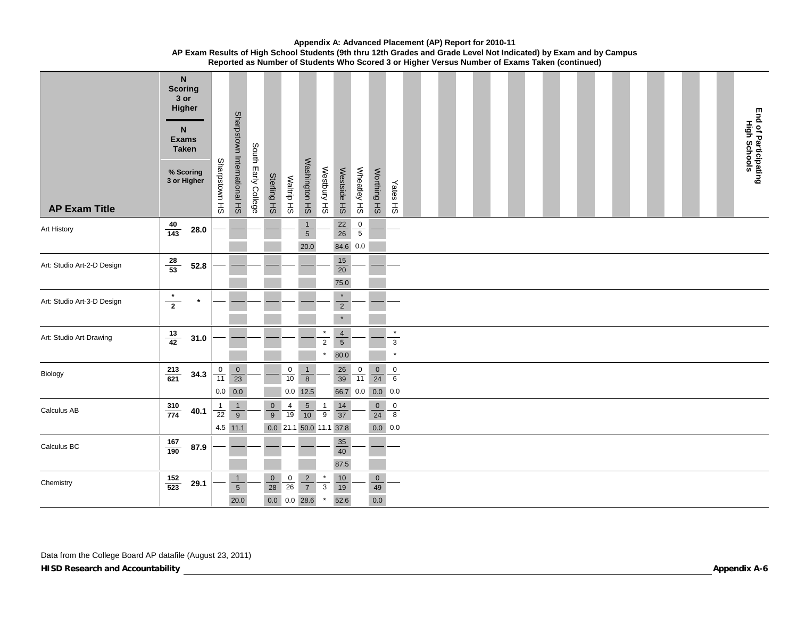| <b>AP Exam Title</b>       | ${\sf N}$<br><b>Scoring</b><br>3 or<br>Higher<br>N<br><b>Exams</b><br><b>Taken</b><br>% Scoring<br>3 or Higher |      | Sharpstown HS  | Sharpstown International HS        | South Early College | Sterling HS                                    | Waltrip HS                     | Washington HS                          | Westbury HS                  | Westside HS                              | Wheatley HS    | Worthing HS                        | Yates HS                         |  |  |  |  |  |  |  |  |  | End of Participating<br>High Schools |
|----------------------------|----------------------------------------------------------------------------------------------------------------|------|----------------|------------------------------------|---------------------|------------------------------------------------|--------------------------------|----------------------------------------|------------------------------|------------------------------------------|----------------|------------------------------------|----------------------------------|--|--|--|--|--|--|--|--|--|--------------------------------------|
| Art History                | $\frac{40}{143}$                                                                                               | 28.0 |                |                                    |                     |                                                |                                | $\mathbf{1}$<br>$\overline{5}$<br>20.0 |                              | $\frac{22}{26}$<br>84.6 0.0              | $\frac{0}{5}$  |                                    |                                  |  |  |  |  |  |  |  |  |  |                                      |
| Art: Studio Art-2-D Design | $\frac{28}{53}$                                                                                                | 52.8 |                |                                    |                     |                                                |                                |                                        |                              | 15<br>$\overline{20}$<br>75.0            |                |                                    |                                  |  |  |  |  |  |  |  |  |  |                                      |
| Art: Studio Art-3-D Design | $\star$<br>$\overline{2}$                                                                                      |      |                |                                    |                     |                                                |                                |                                        |                              | $\star$<br>$\overline{2}$<br>$\star$     |                |                                    |                                  |  |  |  |  |  |  |  |  |  |                                      |
| Art: Studio Art-Drawing    | $\frac{13}{42}$                                                                                                | 31.0 |                |                                    |                     |                                                |                                |                                        | $\overline{2}$               | $\overline{4}$<br>$\overline{5}$<br>80.0 |                |                                    | $\star$<br>$\sqrt{3}$<br>$\star$ |  |  |  |  |  |  |  |  |  |                                      |
| Biology                    | $\frac{213}{621}$                                                                                              | 34.3 | $\frac{0}{11}$ | $\frac{0}{23}$<br>$0.0\ 0.0$       |                     |                                                | $\mathbf 0$<br>10              | $\mathbf{1}$<br>$\bf{8}$<br>$0.0$ 12.5 |                              | $\frac{26}{39}$                          | $\frac{0}{11}$ | $\frac{0}{24}$<br>66.7 0.0 0.0 0.0 | $\overline{0}$<br>$\,6\,$        |  |  |  |  |  |  |  |  |  |                                      |
| Calculus AB                | $\frac{310}{774}$                                                                                              | 40.1 | $\frac{1}{22}$ | $\frac{1}{9}$<br>4.5 11.1          |                     | $\overline{0}$<br>9<br>0.0 21.1 50.0 11.1 37.8 | $\frac{4}{19}$                 | $\frac{5}{10}$                         | $\frac{1}{9}$                | $\frac{14}{37}$                          |                | $\overline{0}$<br>24<br>$0.0\ 0.0$ | 0<br>8                           |  |  |  |  |  |  |  |  |  |                                      |
| Calculus BC                | $\frac{167}{190}$                                                                                              | 87.9 |                |                                    |                     |                                                |                                |                                        |                              | 35<br>$40\,$<br>87.5                     |                |                                    |                                  |  |  |  |  |  |  |  |  |  |                                      |
| Chemistry                  | $\frac{152}{523}$                                                                                              | 29.1 |                | $\mathbf{1}$<br>$\sqrt{5}$<br>20.0 |                     | $\mathbf 0$<br>28<br>$0.0\quad 0.0\quad 28.6$  | $\mathbf 0$<br>$\overline{26}$ | $\frac{2}{7}$                          | $\mathbf{3}$<br>$\pmb{\ast}$ | 10<br>$\overline{19}$<br>52.6            |                | $\mathbf 0$<br>49<br>$0.0\,$       |                                  |  |  |  |  |  |  |  |  |  |                                      |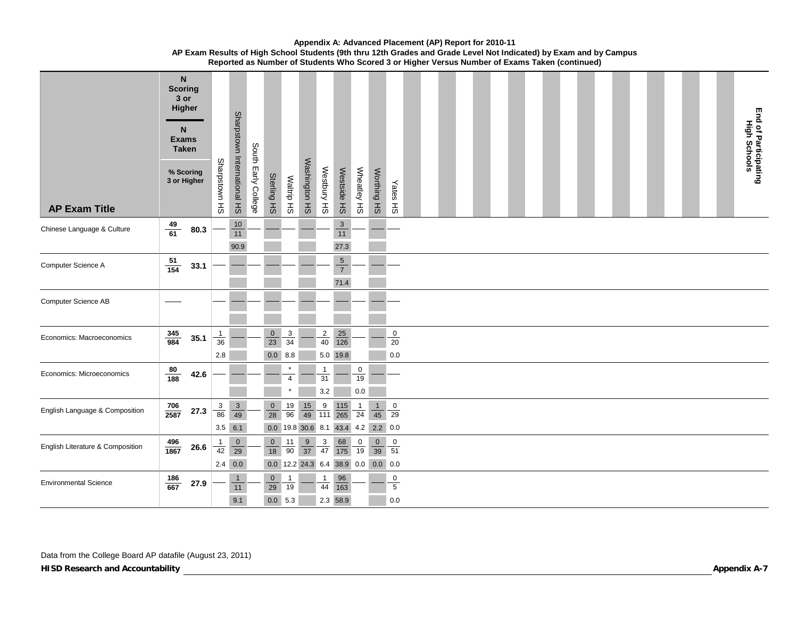| <b>AP Exam Title</b>             | <b>Scoring</b>     | $\mathsf{N}$<br>3 or<br>Higher<br>N.<br><b>Exams</b><br><b>Taken</b><br>% Scoring<br>3 or Higher | Sharpstown HS                          | Sharpstown International HS                      | South Early College | Sterling<br>$\pm 0$               | Waltrip HS                     | Washington HS                          | Westbury HS               | Westside HS                              | Wheatley<br>$\pm$     | Worthing HS                                          | Yates HS                 |  |  |  |  |  |  |  |  |  | End of Participating<br>High Schools |
|----------------------------------|--------------------|--------------------------------------------------------------------------------------------------|----------------------------------------|--------------------------------------------------|---------------------|-----------------------------------|--------------------------------|----------------------------------------|---------------------------|------------------------------------------|-----------------------|------------------------------------------------------|--------------------------|--|--|--|--|--|--|--|--|--|--------------------------------------|
| Chinese Language & Culture       | $\frac{49}{61}$    | 80.3                                                                                             |                                        | $10$<br>$\overline{11}$<br>90.9                  |                     |                                   |                                |                                        |                           | $\ensuremath{\mathsf{3}}$<br>11<br>27.3  |                       |                                                      |                          |  |  |  |  |  |  |  |  |  |                                      |
| Computer Science A               | $\frac{51}{154}$   | 33.1                                                                                             |                                        |                                                  |                     |                                   |                                |                                        |                           | $\overline{5}$<br>$\overline{7}$<br>71.4 |                       |                                                      |                          |  |  |  |  |  |  |  |  |  |                                      |
| Computer Science AB              |                    |                                                                                                  |                                        |                                                  |                     |                                   |                                |                                        |                           |                                          |                       |                                                      |                          |  |  |  |  |  |  |  |  |  |                                      |
| Economics: Macroeconomics        | $\frac{345}{984}$  | 35.1                                                                                             | $\mathbf{1}$<br>36<br>$2.8\,$          |                                                  |                     | $\overline{0}$<br>23<br>0.0 8.8   | 3<br>34                        |                                        | $\overline{2}$<br>40      | 25<br>$\frac{1}{126}$<br>5.0 19.8        |                       |                                                      | $\mathsf 0$<br>20<br>0.0 |  |  |  |  |  |  |  |  |  |                                      |
| Economics: Microeconomics        | $\frac{80}{188}$   | 42.6                                                                                             |                                        |                                                  |                     |                                   | $\overline{4}$                 |                                        | $\mathbf{1}$<br>31<br>3.2 |                                          | $\frac{0}{19}$<br>0.0 |                                                      |                          |  |  |  |  |  |  |  |  |  |                                      |
| English Language & Composition   | $\frac{706}{2587}$ | 27.3                                                                                             | $\begin{array}{c} 3 \\ 86 \end{array}$ | $\frac{3}{49}$<br>$3.5$ 6.1                      |                     | $\mathbf{0}$<br>28                | $\frac{19}{96}$                | $\frac{15}{49}$<br>$0.0$ 19.8 30.6 8.1 | 9<br>111                  | 115<br>$\overline{265}$                  | $\frac{1}{24}$        | $\mathbf{1}$<br>45<br>43.4 4.2 2.2 0.0               | $\overline{0}$<br>29     |  |  |  |  |  |  |  |  |  |                                      |
| English Literature & Composition | $\frac{496}{1867}$ | ${\bf 26.6}$                                                                                     | $\frac{1}{42}$                         | $\overline{0}$<br>$\overline{29}$<br>$2.4 \ 0.0$ |                     | $\overline{0}$<br>18              | $\frac{11}{90}$ $\frac{9}{37}$ |                                        | $\frac{3}{47}$            | $\frac{68}{175}$                         | $\frac{0}{19}$        | $\frac{0}{39}$<br>0.0 12.2 24.3 6.4 38.9 0.0 0.0 0.0 | $\overline{0}$<br>51     |  |  |  |  |  |  |  |  |  |                                      |
| <b>Environmental Science</b>     | $\frac{186}{667}$  | 27.9                                                                                             |                                        | $\mathbf{1}$<br>$11$<br>9.1                      |                     | $\overline{0}$<br>29<br>$0.0$ 5.3 | $\mathbf{1}$<br>19             |                                        | $\mathbf{1}$<br>44        | 96<br>163<br>2.3 58.9                    |                       |                                                      | 0<br>$\,$ 5 $\,$<br>0.0  |  |  |  |  |  |  |  |  |  |                                      |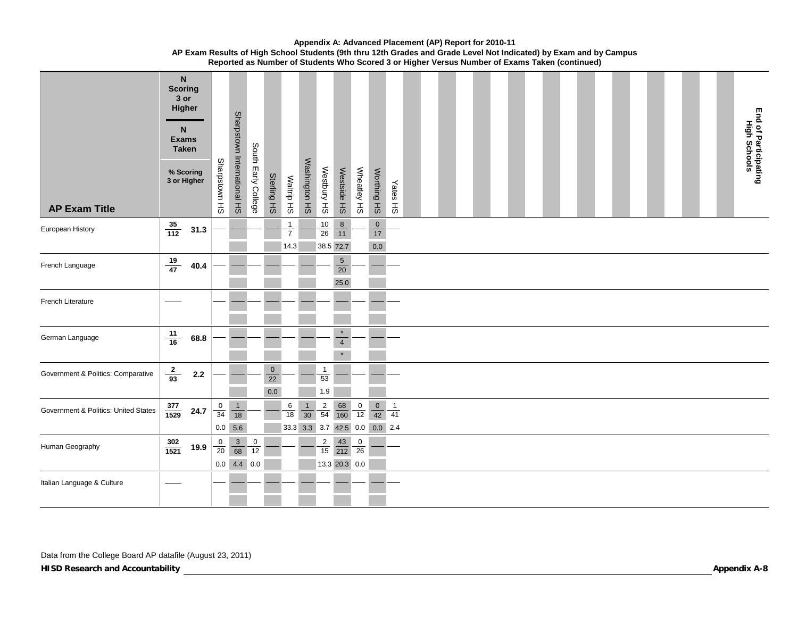| <b>AP Exam Title</b>                 | <b>Scoring</b>     | $\mathsf{N}$<br>3 or<br>Higher<br>N<br><b>Exams</b><br><b>Taken</b><br>% Scoring<br>3 or Higher | Sharpstown HS  | Sharpstown International HS     | South Early College | Sterling HS                         | Waltrip HS                             | Washington HS  | Westbury HS               | Westside HS                                         | Wheatley HS    | Worthing HS                                     | <b>Yates HS</b>                |  |  |  |  |  |  |  |  |  | End of Participating<br>High Schools |
|--------------------------------------|--------------------|-------------------------------------------------------------------------------------------------|----------------|---------------------------------|---------------------|-------------------------------------|----------------------------------------|----------------|---------------------------|-----------------------------------------------------|----------------|-------------------------------------------------|--------------------------------|--|--|--|--|--|--|--|--|--|--------------------------------------|
| European History                     | $\frac{35}{112}$   | 31.3                                                                                            |                |                                 |                     |                                     | $\mathbf{1}$<br>$\overline{7}$<br>14.3 |                | $\frac{10}{26}$           | $\begin{array}{c} 8 \\ 11 \end{array}$<br>38.5 72.7 |                | $\frac{0}{17}$<br>0.0                           |                                |  |  |  |  |  |  |  |  |  |                                      |
| French Language                      | $\frac{19}{47}$    | 40.4                                                                                            |                |                                 |                     |                                     |                                        |                |                           | $\overline{5}$<br>$\overline{20}$<br>25.0           |                |                                                 |                                |  |  |  |  |  |  |  |  |  |                                      |
| French Literature                    |                    |                                                                                                 |                |                                 |                     |                                     |                                        |                |                           |                                                     |                |                                                 |                                |  |  |  |  |  |  |  |  |  |                                      |
| German Language                      | $\frac{11}{16}$    | 68.8                                                                                            |                |                                 |                     |                                     |                                        |                |                           | $\star$<br>$\overline{\mathbf{4}}$<br>$\star$       |                |                                                 |                                |  |  |  |  |  |  |  |  |  |                                      |
| Government & Politics: Comparative   | $\frac{2}{93}$     | $2.2$                                                                                           |                |                                 |                     | $\pmb{0}$<br>$\overline{22}$<br>0.0 |                                        |                | $\mathbf{1}$<br>53<br>1.9 |                                                     |                |                                                 |                                |  |  |  |  |  |  |  |  |  |                                      |
| Government & Politics: United States | $\frac{377}{1529}$ | 24.7                                                                                            | $\frac{0}{34}$ | $\frac{1}{18}$<br>$0.0\, 5.6$   |                     |                                     | $6\phantom{.}6$<br>$\overline{18}$     | $\frac{1}{30}$ | $\frac{2}{54}$            | $\frac{68}{160}$                                    | $\frac{0}{12}$ | $\frac{0}{42}$<br>33.3 3.3 3.7 42.5 0.0 0.0 2.4 | $\overline{\phantom{0}}$<br>41 |  |  |  |  |  |  |  |  |  |                                      |
| Human Geography                      | $\frac{302}{1521}$ | 19.9                                                                                            | $\frac{0}{20}$ | $\frac{3}{68}$<br>$0.0$ 4.4 0.0 | $\frac{0}{12}$      |                                     |                                        |                | $\frac{2}{15}$            | $\frac{43}{212}$<br>13.3 20.3 0.0                   | $\frac{0}{26}$ |                                                 |                                |  |  |  |  |  |  |  |  |  |                                      |
| Italian Language & Culture           |                    |                                                                                                 |                |                                 |                     |                                     |                                        |                |                           |                                                     |                |                                                 |                                |  |  |  |  |  |  |  |  |  |                                      |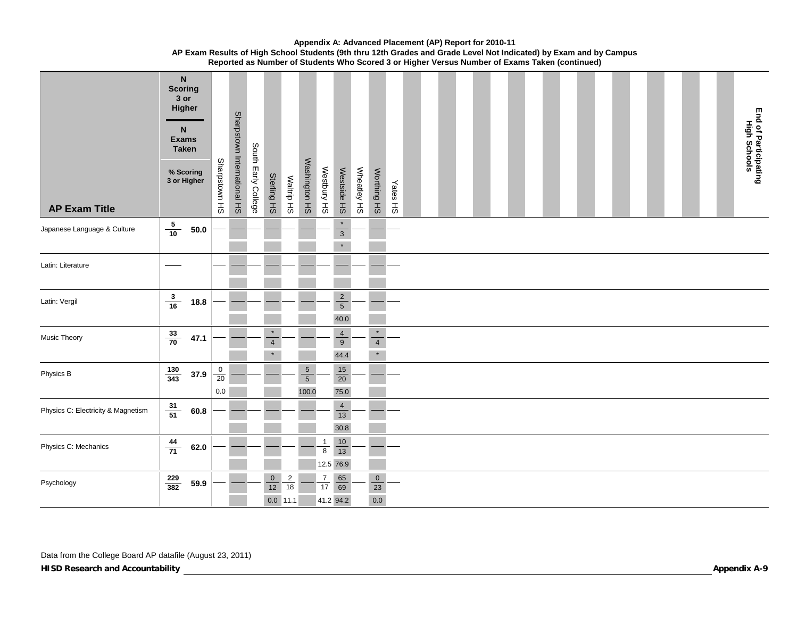| <b>AP Exam Title</b>               | <b>Scoring</b>    | $\mathsf N$<br>3 or<br>Higher<br>N.<br><b>Exams</b><br><b>Taken</b><br>% Scoring<br>3 or Higher | Sharpstown HS                                 | Sharpstown International HS | South Early College | Sterling HS                                     | Waltrip HS           | Washington HS                      | Westbury HS             | Westside HS                          | Wheatley HS | Worthing HS                             | Yates HS |  |  |  |  |  |  |  |  |  | End of Participating<br>High Schools |
|------------------------------------|-------------------|-------------------------------------------------------------------------------------------------|-----------------------------------------------|-----------------------------|---------------------|-------------------------------------------------|----------------------|------------------------------------|-------------------------|--------------------------------------|-------------|-----------------------------------------|----------|--|--|--|--|--|--|--|--|--|--------------------------------------|
| Japanese Language & Culture        | $\frac{5}{10}$    | $\bf 50.0$                                                                                      |                                               |                             |                     |                                                 |                      |                                    |                         | $\star$<br>$\overline{3}$<br>$\star$ |             |                                         |          |  |  |  |  |  |  |  |  |  |                                      |
| Latin: Literature                  |                   |                                                                                                 |                                               |                             |                     |                                                 |                      |                                    |                         |                                      |             |                                         |          |  |  |  |  |  |  |  |  |  |                                      |
| Latin: Vergil                      |                   | $\frac{3}{16}$ 18.8                                                                             |                                               |                             |                     |                                                 |                      |                                    |                         | $\frac{2}{5}$<br>40.0                |             |                                         |          |  |  |  |  |  |  |  |  |  |                                      |
| Music Theory                       | $\frac{33}{70}$   | 47.1                                                                                            |                                               |                             |                     | $\star$<br>$\overline{4}$                       |                      |                                    |                         | $\frac{4}{9}$<br>44.4                |             | $\star$<br>$\overline{4}$<br>$\star$    |          |  |  |  |  |  |  |  |  |  |                                      |
| Physics B                          | $\frac{130}{343}$ | 37.9                                                                                            | $\begin{array}{c} 0 \\ 20 \end{array}$<br>0.0 |                             |                     |                                                 |                      | $\,$ 5 $\,$<br>$\sqrt{5}$<br>100.0 |                         | 15<br>$\overline{20}$<br>75.0        |             |                                         |          |  |  |  |  |  |  |  |  |  |                                      |
| Physics C: Electricity & Magnetism | $\frac{31}{51}$   | 60.8                                                                                            |                                               |                             |                     |                                                 |                      |                                    |                         | $\overline{4}$<br>$13$<br>30.8       |             |                                         |          |  |  |  |  |  |  |  |  |  |                                      |
| Physics C: Mechanics               | $\frac{44}{71}$   | 62.0                                                                                            |                                               |                             |                     |                                                 |                      |                                    | $\mathbf{1}$<br>$\bf 8$ | $\frac{10}{13}$<br>12.5 76.9         |             |                                         |          |  |  |  |  |  |  |  |  |  |                                      |
| Psychology                         | $\frac{229}{382}$ | 59.9                                                                                            |                                               |                             |                     | $\overline{0}$<br>$\overline{12}$<br>$0.0$ 11.1 | $\overline{2}$<br>18 |                                    | $\frac{7}{17}$          | $\frac{65}{69}$<br>41.2 94.2         |             | $\overline{0}$<br>$\frac{1}{23}$<br>0.0 |          |  |  |  |  |  |  |  |  |  |                                      |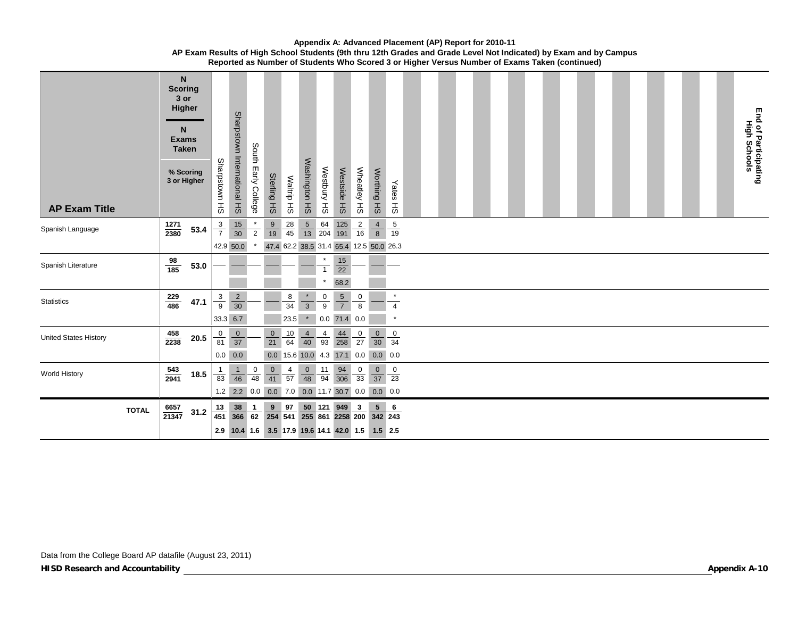| <b>AP Exam Title</b>         | $\mathsf{N}$<br><b>Scoring</b><br>3 or<br>Higher<br>N<br><b>Exams</b><br><b>Taken</b><br>% Scoring<br>3 or Higher |              | Sharpstown HS                                                          | Sharpstown International HS<br>South Early College                        | Sterling HS                                                                                       | Waltrip HS      | Washington HS                                        | Westbury HS             | Westside HS                     | Wheatley HS                           | Worthing HS                      | Yates HS                  |  |  |  |  |  |  |  |  |  | End of Participating<br>High Schools |
|------------------------------|-------------------------------------------------------------------------------------------------------------------|--------------|------------------------------------------------------------------------|---------------------------------------------------------------------------|---------------------------------------------------------------------------------------------------|-----------------|------------------------------------------------------|-------------------------|---------------------------------|---------------------------------------|----------------------------------|---------------------------|--|--|--|--|--|--|--|--|--|--------------------------------------|
| Spanish Language             | 1271<br>2380                                                                                                      | 53.4         | $rac{3}{7}$                                                            | $\frac{15}{30}$<br>$\overline{2}$                                         | $\frac{9}{19}$                                                                                    | $\frac{28}{45}$ | $\frac{5}{13}$                                       | $\frac{64}{204}$        | $\frac{125}{191}$               | $\frac{2}{16}$                        | $\overline{4}$<br>$\overline{8}$ | $\frac{5}{19}$            |  |  |  |  |  |  |  |  |  |                                      |
| Spanish Literature           | $\frac{98}{185}$                                                                                                  | 53.0         | 42.9 50.0                                                              |                                                                           |                                                                                                   |                 | 47.4 62.2 38.5 31.4 65.4 12.5 50.0 26.3              | $\star$<br>$\mathbf{1}$ | $\frac{15}{22}$<br>68.2         |                                       |                                  |                           |  |  |  |  |  |  |  |  |  |                                      |
| <b>Statistics</b>            | $\frac{229}{486}$                                                                                                 | 47.1         | $rac{3}{9}$<br>33.3 6.7                                                | $\frac{2}{30}$                                                            |                                                                                                   | 8<br>34<br>23.5 | $rac{*}{3}$<br>$\star$                               | $\frac{0}{9}$           | $\frac{5}{7}$<br>$0.0$ 71.4 0.0 | $\begin{array}{c} 0 \\ 8 \end{array}$ |                                  | $\overline{4}$<br>$\star$ |  |  |  |  |  |  |  |  |  |                                      |
| <b>United States History</b> | $\frac{458}{2238}$                                                                                                | ${\bf 20.5}$ | $\frac{0}{37}$<br>$\begin{array}{c} 0 \\ 81 \end{array}$<br>$0.0\ 0.0$ |                                                                           | $\mathbf 0$<br>$\overline{21}$                                                                    | $\frac{10}{64}$ | $\frac{4}{40}$<br>0.0 15.6 10.0 4.3 17.1 0.0 0.0 0.0 | $\frac{4}{93}$          | $\frac{44}{258}$                | $\frac{0}{27}$                        | $\frac{0}{30}$                   | $\frac{0}{34}$            |  |  |  |  |  |  |  |  |  |                                      |
| World History                | $\frac{543}{2941}$                                                                                                | $18.5$       | $\mathbf{1}$<br>83                                                     | $\begin{array}{c} 0 \\ 48 \end{array}$<br>$\mathbf{1}$<br>$\overline{46}$ | $\frac{0}{41}$                                                                                    | $\frac{4}{57}$  | $\frac{0}{48}$                                       | $\frac{11}{94}$         | $\frac{94}{306}$                | $\frac{0}{33}$                        | $\frac{0}{37}$                   | $\overline{0}$<br>23      |  |  |  |  |  |  |  |  |  |                                      |
| <b>TOTAL</b>                 | $\frac{6657}{21347}$                                                                                              | 31.2         | $\frac{13}{451}$ $\frac{38}{366}$                                      | $\mathbf{1}$<br>62                                                        | 1.2 2.2 0.0 0.0 7.0 0.0 11.7 30.7 0.0 0.0 0.0<br>2.9 10.4 1.6 3.5 17.9 19.6 14.1 42.0 1.5 1.5 2.5 | 9 97            | 254 541 255 861 2258 200 342 243                     |                         | 50 121 949                      | $\mathbf{3}$                          |                                  | $5 \t6$                   |  |  |  |  |  |  |  |  |  |                                      |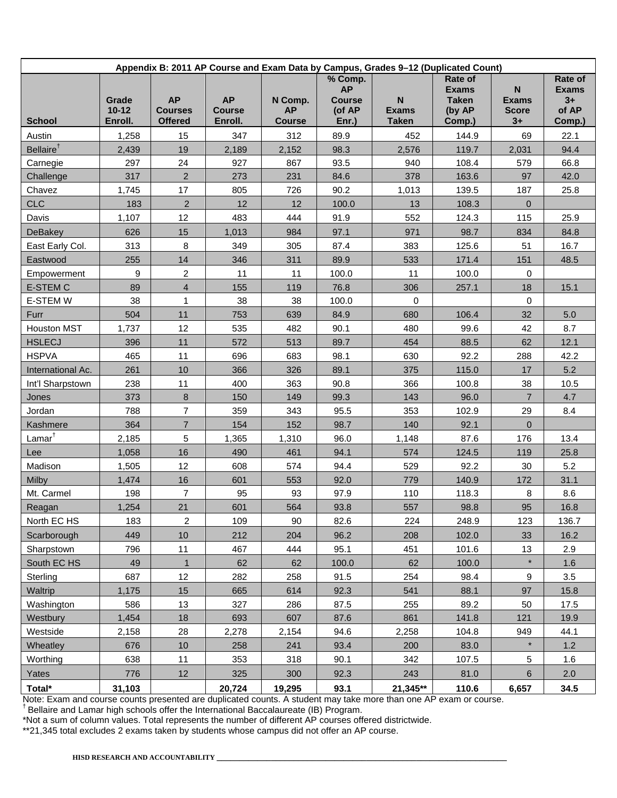| Appendix B: 2011 AP Course and Exam Data by Campus, Grades 9-12 (Duplicated Count) |                               |                                               |                                       |                                       |                                                          |                                                           |                                                             |                                                        |                                                    |  |  |  |  |
|------------------------------------------------------------------------------------|-------------------------------|-----------------------------------------------|---------------------------------------|---------------------------------------|----------------------------------------------------------|-----------------------------------------------------------|-------------------------------------------------------------|--------------------------------------------------------|----------------------------------------------------|--|--|--|--|
| <b>School</b>                                                                      | Grade<br>$10 - 12$<br>Enroll. | <b>AP</b><br><b>Courses</b><br><b>Offered</b> | <b>AP</b><br><b>Course</b><br>Enroll. | N Comp.<br><b>AP</b><br><b>Course</b> | % Comp.<br><b>AP</b><br><b>Course</b><br>(of AP<br>Enr.) | $\boldsymbol{\mathsf{N}}$<br><b>Exams</b><br><b>Taken</b> | Rate of<br><b>Exams</b><br><b>Taken</b><br>(by AP<br>Comp.) | N <sub>1</sub><br><b>Exams</b><br><b>Score</b><br>$3+$ | Rate of<br><b>Exams</b><br>$3+$<br>of AP<br>Comp.) |  |  |  |  |
| Austin                                                                             | 1,258                         | 15                                            | 347                                   | 312                                   | 89.9                                                     | 452                                                       | 144.9                                                       | 69                                                     | 22.1                                               |  |  |  |  |
| Bellaire <sup>†</sup>                                                              | 2,439                         | 19                                            | 2,189                                 | 2,152                                 | 98.3                                                     | 2,576                                                     | 119.7                                                       | 2,031                                                  | 94.4                                               |  |  |  |  |
| Carnegie                                                                           | 297                           | 24                                            | 927                                   | 867                                   | 93.5                                                     | 940                                                       | 108.4                                                       | 579                                                    | 66.8                                               |  |  |  |  |
| Challenge                                                                          | 317                           | $\overline{2}$                                | 273                                   | 231                                   | 84.6                                                     | 378                                                       | 163.6                                                       | 97                                                     | 42.0                                               |  |  |  |  |
| Chavez                                                                             | 1,745                         | 17                                            | 805                                   | 726                                   | 90.2                                                     | 1,013                                                     | 139.5                                                       | 187                                                    | 25.8                                               |  |  |  |  |
| <b>CLC</b>                                                                         | 183                           | $\overline{2}$                                | 12                                    | 12                                    | 100.0                                                    | 13                                                        | 108.3                                                       | $\mathbf{0}$                                           |                                                    |  |  |  |  |
| Davis                                                                              | 1,107                         | 12                                            | 483                                   | 444                                   | 91.9                                                     | 552                                                       | 124.3                                                       | 115                                                    | 25.9                                               |  |  |  |  |
| <b>DeBakey</b>                                                                     | 626                           | 15                                            | 1,013                                 | 984                                   | 97.1                                                     | 971                                                       | 98.7                                                        | 834                                                    | 84.8                                               |  |  |  |  |
| East Early Col.                                                                    | 313                           | $\,8\,$                                       | 349                                   | 305                                   | 87.4                                                     | 383                                                       | 125.6                                                       | 51                                                     | 16.7                                               |  |  |  |  |
| Eastwood                                                                           | 255                           | 14                                            | 346                                   | 311                                   | 89.9                                                     | 533                                                       | 171.4                                                       | 151                                                    | 48.5                                               |  |  |  |  |
| Empowerment                                                                        | 9                             | $\overline{2}$                                | 11                                    | 11                                    | 100.0                                                    | 11                                                        | 100.0                                                       | 0                                                      |                                                    |  |  |  |  |
| <b>E-STEM C</b>                                                                    | 89                            | $\overline{4}$                                | 155                                   | 119                                   | 76.8                                                     | 306                                                       | 257.1                                                       | 18                                                     | 15.1                                               |  |  |  |  |
| <b>E-STEM W</b>                                                                    | 38                            | $\mathbf{1}$                                  | 38                                    | 38                                    | 100.0                                                    | $\mathbf 0$                                               |                                                             | 0                                                      |                                                    |  |  |  |  |
| Furr                                                                               | 504                           | 11                                            | 753                                   | 639                                   | 84.9                                                     | 680                                                       | 106.4                                                       | 32                                                     | 5.0                                                |  |  |  |  |
| <b>Houston MST</b>                                                                 | 1,737                         | 12                                            | 535                                   | 482                                   | 90.1                                                     | 480                                                       | 99.6                                                        | 42                                                     | 8.7                                                |  |  |  |  |
| <b>HSLECJ</b>                                                                      | 396                           | 11                                            | 572                                   | 513                                   | 89.7                                                     | 454                                                       | 88.5                                                        | 62                                                     | 12.1                                               |  |  |  |  |
| <b>HSPVA</b>                                                                       | 465                           | 11                                            | 696                                   | 683                                   | 98.1                                                     | 630                                                       | 92.2                                                        | 288                                                    | 42.2                                               |  |  |  |  |
| International Ac.                                                                  | 261                           | 10                                            | 366                                   | 326                                   | 89.1                                                     | 375                                                       | 115.0                                                       | 17                                                     | 5.2                                                |  |  |  |  |
| Int'l Sharpstown                                                                   | 238                           | 11                                            | 400                                   | 363                                   | 90.8                                                     | 366                                                       | 100.8                                                       | 38                                                     | 10.5                                               |  |  |  |  |
| Jones                                                                              | 373                           | 8                                             | 150                                   | 149                                   | 99.3                                                     | 143                                                       | 96.0                                                        | $\overline{7}$                                         | 4.7                                                |  |  |  |  |
| Jordan                                                                             | 788                           | $\overline{7}$                                | 359                                   | 343                                   | 95.5                                                     | 353                                                       | 102.9                                                       | 29                                                     | 8.4                                                |  |  |  |  |
| Kashmere                                                                           | 364                           | $\overline{7}$                                | 154                                   | 152                                   | 98.7                                                     | 140                                                       | 92.1                                                        | $\pmb{0}$                                              |                                                    |  |  |  |  |
| $Lamar^{\dagger}$                                                                  | 2,185                         | 5                                             | 1,365                                 | 1,310                                 | 96.0                                                     | 1,148                                                     | 87.6                                                        | 176                                                    | 13.4                                               |  |  |  |  |
| Lee                                                                                | 1,058                         | 16                                            | 490                                   | 461                                   | 94.1                                                     | 574                                                       | 124.5                                                       | 119                                                    | 25.8                                               |  |  |  |  |
| Madison                                                                            | 1,505                         | 12                                            | 608                                   | 574                                   | 94.4                                                     | 529                                                       | 92.2                                                        | 30                                                     | 5.2                                                |  |  |  |  |
| Milby                                                                              | 1,474                         | 16                                            | 601                                   | 553                                   | 92.0                                                     | 779                                                       | 140.9                                                       | 172                                                    | 31.1                                               |  |  |  |  |
| Mt. Carmel                                                                         | 198                           | $\overline{7}$                                | 95                                    | 93                                    | 97.9                                                     | 110                                                       | 118.3                                                       | 8                                                      | 8.6                                                |  |  |  |  |
| Reagan                                                                             | 1,254                         | 21                                            | 601                                   | 564                                   | 93.8                                                     | 557                                                       | 98.8                                                        | 95                                                     | 16.8                                               |  |  |  |  |
| North EC HS                                                                        | 183                           | $\overline{c}$                                | 109                                   | 90                                    | 82.6                                                     | 224                                                       | 248.9                                                       | 123                                                    | 136.7                                              |  |  |  |  |
| Scarborough                                                                        | 449                           | 10                                            | 212                                   | 204                                   | 96.2                                                     | 208                                                       | 102.0                                                       | 33                                                     | 16.2                                               |  |  |  |  |
| Sharpstown                                                                         | 796                           | 11                                            | 467                                   | 444                                   | 95.1                                                     | 451                                                       | 101.6                                                       | 13                                                     | 2.9                                                |  |  |  |  |
| South EC HS                                                                        | 49                            | $\mathbf{1}$                                  | 62                                    | 62                                    | 100.0                                                    | 62                                                        | 100.0                                                       | $\star$                                                | 1.6                                                |  |  |  |  |
| Sterling                                                                           | 687                           | 12                                            | 282                                   | 258                                   | 91.5                                                     | 254                                                       | 98.4                                                        | 9                                                      | 3.5                                                |  |  |  |  |
| Waltrip                                                                            | 1,175                         | 15                                            | 665                                   | 614                                   | 92.3                                                     | 541                                                       | 88.1                                                        | 97                                                     | 15.8                                               |  |  |  |  |
| Washington                                                                         | 586                           | 13                                            | 327                                   | 286                                   | 87.5                                                     | 255                                                       | 89.2                                                        | 50                                                     | 17.5                                               |  |  |  |  |
| Westbury                                                                           | 1,454                         | 18                                            | 693                                   | 607                                   | 87.6                                                     | 861                                                       | 141.8                                                       | 121                                                    | 19.9                                               |  |  |  |  |
| Westside                                                                           | 2,158                         | 28                                            | 2,278                                 | 2,154                                 | 94.6                                                     | 2,258                                                     | 104.8                                                       | 949                                                    | 44.1                                               |  |  |  |  |
| Wheatley                                                                           | 676                           | 10                                            | 258                                   | 241                                   | 93.4                                                     | 200                                                       | 83.0                                                        | $\star$                                                | 1.2                                                |  |  |  |  |
| Worthing                                                                           | 638                           | 11                                            | 353                                   | 318                                   | 90.1                                                     | 342                                                       | 107.5                                                       | 5                                                      | 1.6                                                |  |  |  |  |
| Yates                                                                              | 776                           | 12                                            | 325                                   | 300                                   | 92.3                                                     | 243                                                       | 81.0                                                        | 6                                                      | 2.0                                                |  |  |  |  |
| Total*                                                                             | 31,103                        |                                               | 20,724                                | 19,295                                | 93.1                                                     | 21,345**                                                  | 110.6                                                       | 6,657                                                  | 34.5                                               |  |  |  |  |

Note: Exam and course counts presented are duplicated counts. A student may take more than one AP exam or course.<br><sup>†</sup> Bellaire and Lamar high schools offer the International Baccalaureate (IB) Program.

\*Not a sum of column values. Total represents the number of different AP courses offered districtwide.

\*\*21,345 total excludes 2 exams taken by students whose campus did not offer an AP course.